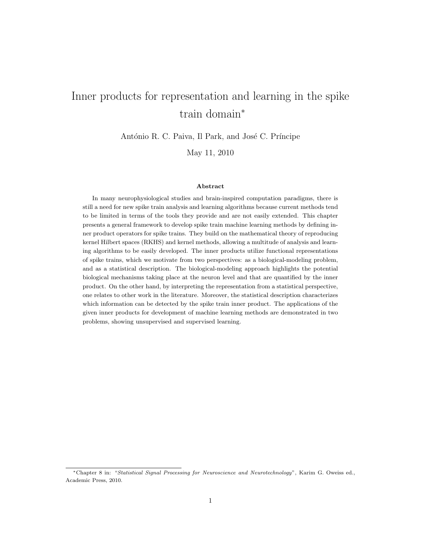# Inner products for representation and learning in the spike train domain<sup>∗</sup>

António R. C. Paiva, Il Park, and José C. Príncipe

May 11, 2010

#### Abstract

In many neurophysiological studies and brain-inspired computation paradigms, there is still a need for new spike train analysis and learning algorithms because current methods tend to be limited in terms of the tools they provide and are not easily extended. This chapter presents a general framework to develop spike train machine learning methods by defining inner product operators for spike trains. They build on the mathematical theory of reproducing kernel Hilbert spaces (RKHS) and kernel methods, allowing a multitude of analysis and learning algorithms to be easily developed. The inner products utilize functional representations of spike trains, which we motivate from two perspectives: as a biological-modeling problem, and as a statistical description. The biological-modeling approach highlights the potential biological mechanisms taking place at the neuron level and that are quantified by the inner product. On the other hand, by interpreting the representation from a statistical perspective, one relates to other work in the literature. Moreover, the statistical description characterizes which information can be detected by the spike train inner product. The applications of the given inner products for development of machine learning methods are demonstrated in two problems, showing unsupervised and supervised learning.

<sup>∗</sup>Chapter 8 in: "Statistical Signal Processing for Neuroscience and Neurotechnology", Karim G. Oweiss ed., Academic Press, 2010.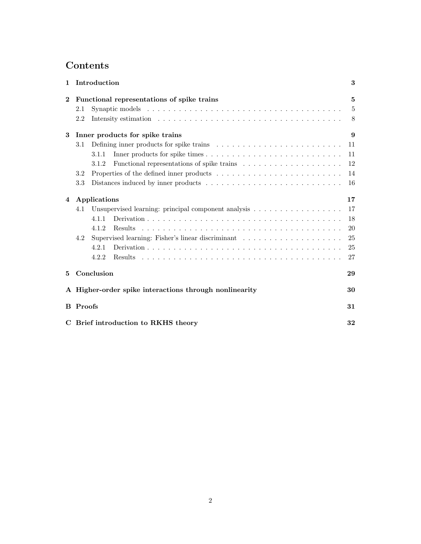# Contents

| 1              | Introduction                                                 |                                                                                                  |                |  |
|----------------|--------------------------------------------------------------|--------------------------------------------------------------------------------------------------|----------------|--|
| $\bf{2}$       | Functional representations of spike trains                   |                                                                                                  |                |  |
|                | 2.1                                                          |                                                                                                  | $\overline{5}$ |  |
|                | 2.2                                                          |                                                                                                  | 8              |  |
| 3              | Inner products for spike trains                              |                                                                                                  |                |  |
|                | 3.1                                                          | Defining inner products for spike trains $\dots \dots \dots \dots \dots \dots \dots \dots \dots$ | 11             |  |
|                |                                                              | 3.1.1                                                                                            | 11             |  |
|                |                                                              | 3.1.2                                                                                            | 12             |  |
|                | 3.2                                                          |                                                                                                  | 14             |  |
|                | 3.3                                                          |                                                                                                  | 16             |  |
| $\overline{4}$ | Applications                                                 |                                                                                                  |                |  |
|                | 4.1                                                          | Unsupervised learning: principal component analysis                                              | 17             |  |
|                |                                                              | 4.1.1                                                                                            | 18             |  |
|                |                                                              | 4.1.2                                                                                            | 20             |  |
|                | 4.2                                                          | Supervised learning: Fisher's linear discriminant                                                | 25             |  |
|                |                                                              | 4.2.1                                                                                            | 25             |  |
|                |                                                              | 4.2.2                                                                                            | 27             |  |
| 5              | Conclusion                                                   |                                                                                                  |                |  |
|                | A Higher-order spike interactions through nonlinearity<br>30 |                                                                                                  |                |  |
|                | <b>B</b> Proofs<br>31                                        |                                                                                                  |                |  |
|                | C Brief introduction to RKHS theory<br>32                    |                                                                                                  |                |  |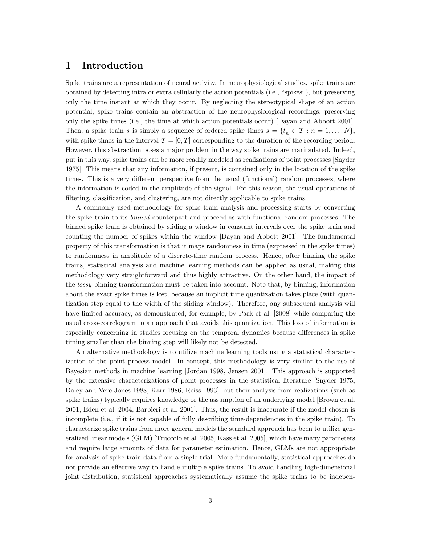# 1 Introduction

Spike trains are a representation of neural activity. In neurophysiological studies, spike trains are obtained by detecting intra or extra cellularly the action potentials (i.e., "spikes"), but preserving only the time instant at which they occur. By neglecting the stereotypical shape of an action potential, spike trains contain an abstraction of the neurophysiological recordings, preserving only the spike times (i.e., the time at which action potentials occur) [Dayan and Abbott 2001]. Then, a spike train s is simply a sequence of ordered spike times  $s = \{t_n \in \mathcal{T} : n = 1, \ldots, N\},\$ with spike times in the interval  $\mathcal{T} = [0, T]$  corresponding to the duration of the recording period. However, this abstraction poses a major problem in the way spike trains are manipulated. Indeed, put in this way, spike trains can be more readily modeled as realizations of point processes [Snyder 1975]. This means that any information, if present, is contained only in the location of the spike times. This is a very different perspective from the usual (functional) random processes, where the information is coded in the amplitude of the signal. For this reason, the usual operations of filtering, classification, and clustering, are not directly applicable to spike trains.

A commonly used methodology for spike train analysis and processing starts by converting the spike train to its binned counterpart and proceed as with functional random processes. The binned spike train is obtained by sliding a window in constant intervals over the spike train and counting the number of spikes within the window [Dayan and Abbott 2001]. The fundamental property of this transformation is that it maps randomness in time (expressed in the spike times) to randomness in amplitude of a discrete-time random process. Hence, after binning the spike trains, statistical analysis and machine learning methods can be applied as usual, making this methodology very straightforward and thus highly attractive. On the other hand, the impact of the lossy binning transformation must be taken into account. Note that, by binning, information about the exact spike times is lost, because an implicit time quantization takes place (with quantization step equal to the width of the sliding window). Therefore, any subsequent analysis will have limited accuracy, as demonstrated, for example, by Park et al. [2008] while comparing the usual cross-correlogram to an approach that avoids this quantization. This loss of information is especially concerning in studies focusing on the temporal dynamics because differences in spike timing smaller than the binning step will likely not be detected.

An alternative methodology is to utilize machine learning tools using a statistical characterization of the point process model. In concept, this methodology is very similar to the use of Bayesian methods in machine learning [Jordan 1998, Jensen 2001]. This approach is supported by the extensive characterizations of point processes in the statistical literature [Snyder 1975, Daley and Vere-Jones 1988, Karr 1986, Reiss 1993], but their analysis from realizations (such as spike trains) typically requires knowledge or the assumption of an underlying model [Brown et al. 2001, Eden et al. 2004, Barbieri et al. 2001]. Thus, the result is inaccurate if the model chosen is incomplete (i.e., if it is not capable of fully describing time-dependencies in the spike train). To characterize spike trains from more general models the standard approach has been to utilize generalized linear models (GLM) [Truccolo et al. 2005, Kass et al. 2005], which have many parameters and require large amounts of data for parameter estimation. Hence, GLMs are not appropriate for analysis of spike train data from a single-trial. More fundamentally, statistical approaches do not provide an effective way to handle multiple spike trains. To avoid handling high-dimensional joint distribution, statistical approaches systematically assume the spike trains to be indepen-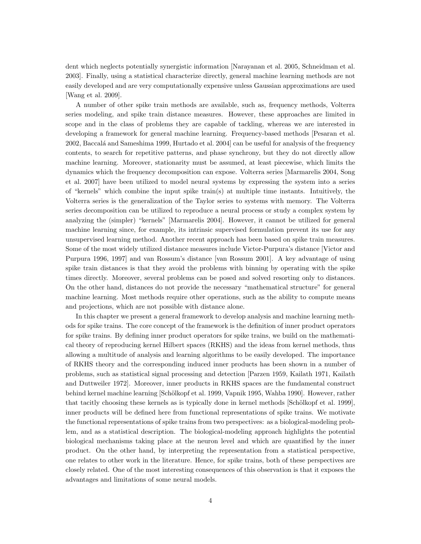dent which neglects potentially synergistic information [Narayanan et al. 2005, Schneidman et al. 2003]. Finally, using a statistical characterize directly, general machine learning methods are not easily developed and are very computationally expensive unless Gaussian approximations are used [Wang et al. 2009].

A number of other spike train methods are available, such as, frequency methods, Volterra series modeling, and spike train distance measures. However, these approaches are limited in scope and in the class of problems they are capable of tackling, whereas we are interested in developing a framework for general machine learning. Frequency-based methods [Pesaran et al. 2002, Baccalá and Sameshima 1999, Hurtado et al. 2004] can be useful for analysis of the frequency contents, to search for repetitive patterns, and phase synchrony, but they do not directly allow machine learning. Moreover, stationarity must be assumed, at least piecewise, which limits the dynamics which the frequency decomposition can expose. Volterra series [Marmarelis 2004, Song et al. 2007] have been utilized to model neural systems by expressing the system into a series of "kernels" which combine the input spike train(s) at multiple time instants. Intuitively, the Volterra series is the generalization of the Taylor series to systems with memory. The Volterra series decomposition can be utilized to reproduce a neural process or study a complex system by analyzing the (simpler) "kernels" [Marmarelis 2004]. However, it cannot be utilized for general machine learning since, for example, its intrinsic supervised formulation prevent its use for any unsupervised learning method. Another recent approach has been based on spike train measures. Some of the most widely utilized distance measures include Victor-Purpura's distance [Victor and Purpura 1996, 1997] and van Rossum's distance [van Rossum 2001]. A key advantage of using spike train distances is that they avoid the problems with binning by operating with the spike times directly. Moreover, several problems can be posed and solved resorting only to distances. On the other hand, distances do not provide the necessary "mathematical structure" for general machine learning. Most methods require other operations, such as the ability to compute means and projections, which are not possible with distance alone.

In this chapter we present a general framework to develop analysis and machine learning methods for spike trains. The core concept of the framework is the definition of inner product operators for spike trains. By defining inner product operators for spike trains, we build on the mathematical theory of reproducing kernel Hilbert spaces (RKHS) and the ideas from kernel methods, thus allowing a multitude of analysis and learning algorithms to be easily developed. The importance of RKHS theory and the corresponding induced inner products has been shown in a number of problems, such as statistical signal processing and detection [Parzen 1959, Kailath 1971, Kailath and Duttweiler 1972]. Moreover, inner products in RKHS spaces are the fundamental construct behind kernel machine learning [Schölkopf et al. 1999, Vapnik 1995, Wahba 1990]. However, rather that tacitly choosing these kernels as is typically done in kernel methods [Schölkopf et al. 1999], inner products will be defined here from functional representations of spike trains. We motivate the functional representations of spike trains from two perspectives: as a biological-modeling problem, and as a statistical description. The biological-modeling approach highlights the potential biological mechanisms taking place at the neuron level and which are quantified by the inner product. On the other hand, by interpreting the representation from a statistical perspective, one relates to other work in the literature. Hence, for spike trains, both of these perspectives are closely related. One of the most interesting consequences of this observation is that it exposes the advantages and limitations of some neural models.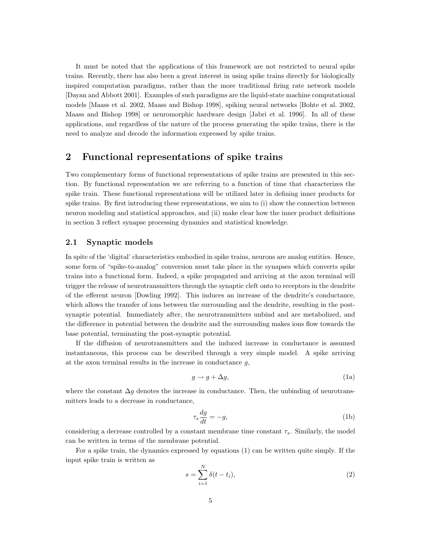It must be noted that the applications of this framework are not restricted to neural spike trains. Recently, there has also been a great interest in using spike trains directly for biologically inspired computation paradigms, rather than the more traditional firing rate network models [Dayan and Abbott 2001]. Examples of such paradigms are the liquid-state machine computational models [Maass et al. 2002, Maass and Bishop 1998], spiking neural networks [Bohte et al. 2002, Maass and Bishop 1998] or neuromorphic hardware design [Jabri et al. 1996]. In all of these applications, and regardless of the nature of the process generating the spike trains, there is the need to analyze and decode the information expressed by spike trains.

### 2 Functional representations of spike trains

Two complementary forms of functional representations of spike trains are presented in this section. By functional representation we are referring to a function of time that characterizes the spike train. These functional representations will be utilized later in defining inner products for spike trains. By first introducing these representations, we aim to (i) show the connection between neuron modeling and statistical approaches, and (ii) make clear how the inner product definitions in section 3 reflect synapse processing dynamics and statistical knowledge.

#### 2.1 Synaptic models

In spite of the 'digital' characteristics embodied in spike trains, neurons are analog entities. Hence, some form of "spike-to-analog" conversion must take place in the synapses which converts spike trains into a functional form. Indeed, a spike propagated and arriving at the axon terminal will trigger the release of neurotransmitters through the synaptic cleft onto to receptors in the dendrite of the efferent neuron [Dowling 1992]. This induces an increase of the dendrite's conductance, which allows the transfer of ions between the surrounding and the dendrite, resulting in the postsynaptic potential. Immediately after, the neurotransmitters unbind and are metabolized, and the difference in potential between the dendrite and the surrounding makes ions flow towards the base potential, terminating the post-synaptic potential.

If the diffusion of neurotransmitters and the induced increase in conductance is assumed instantaneous, this process can be described through a very simple model. A spike arriving at the axon terminal results in the increase in conductance  $g$ ,

$$
g \to g + \Delta g,\tag{1a}
$$

where the constant  $\Delta g$  denotes the increase in conductance. Then, the unbinding of neurotransmitters leads to a decrease in conductance,

$$
\tau_s \frac{dg}{dt} = -g,\tag{1b}
$$

considering a decrease controlled by a constant membrane time constant  $\tau_s$ . Similarly, the model can be written in terms of the membrane potential.

For a spike train, the dynamics expressed by equations (1) can be written quite simply. If the input spike train is written as

$$
s = \sum_{i=1}^{N} \delta(t - t_i),\tag{2}
$$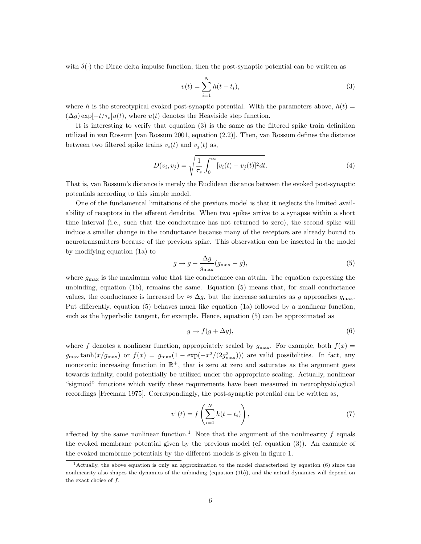with  $\delta(\cdot)$  the Dirac delta impulse function, then the post-synaptic potential can be written as

$$
v(t) = \sum_{i=1}^{N} h(t - t_i),
$$
\n(3)

where h is the stereotypical evoked post-synaptic potential. With the parameters above,  $h(t)$  =  $(\Delta g) \exp[-t/\tau_s] u(t)$ , where  $u(t)$  denotes the Heaviside step function.

It is interesting to verify that equation (3) is the same as the filtered spike train definition utilized in van Rossum [van Rossum 2001, equation (2.2)]. Then, van Rossum defines the distance between two filtered spike trains  $v_i(t)$  and  $v_i(t)$  as,

$$
D(v_i, v_j) = \sqrt{\frac{1}{\tau_s} \int_0^\infty [v_i(t) - v_j(t)]^2 dt}.
$$
 (4)

That is, van Rossum's distance is merely the Euclidean distance between the evoked post-synaptic potentials according to this simple model.

One of the fundamental limitations of the previous model is that it neglects the limited availability of receptors in the efferent dendrite. When two spikes arrive to a synapse within a short time interval (i.e., such that the conductance has not returned to zero), the second spike will induce a smaller change in the conductance because many of the receptors are already bound to neurotransmitters because of the previous spike. This observation can be inserted in the model by modifying equation (1a) to

$$
g \to g + \frac{\Delta g}{g_{\text{max}}} (g_{\text{max}} - g), \tag{5}
$$

where  $g_{\text{max}}$  is the maximum value that the conductance can attain. The equation expressing the unbinding, equation (1b), remains the same. Equation (5) means that, for small conductance values, the conductance is increased by  $\approx \Delta g$ , but the increase saturates as g approaches  $g_{\text{max}}$ . Put differently, equation (5) behaves much like equation (1a) followed by a nonlinear function, such as the hyperbolic tangent, for example. Hence, equation (5) can be approximated as

$$
g \to f(g + \Delta g), \tag{6}
$$

where f denotes a nonlinear function, appropriately scaled by  $g_{\text{max}}$ . For example, both  $f(x)$  =  $g_{\text{max}} \tanh(x/g_{\text{max}})$  or  $f(x) = g_{\text{max}}(1 - \exp(-x^2/(2g_{\text{max}}^2)))$  are valid possibilities. In fact, any monotonic increasing function in  $\mathbb{R}^+$ , that is zero at zero and saturates as the argument goes towards infinity, could potentially be utilized under the appropriate scaling. Actually, nonlinear "sigmoid" functions which verify these requirements have been measured in neurophysiological recordings [Freeman 1975]. Correspondingly, the post-synaptic potential can be written as,

$$
v^{\dagger}(t) = f\left(\sum_{i=1}^{N} h(t - t_i)\right),\tag{7}
$$

affected by the same nonlinear function.<sup>1</sup> Note that the argument of the nonlinearity f equals the evoked membrane potential given by the previous model (cf. equation (3)). An example of the evoked membrane potentials by the different models is given in figure 1.

<sup>&</sup>lt;sup>1</sup> Actually, the above equation is only an approximation to the model characterized by equation (6) since the nonlinearity also shapes the dynamics of the unbinding (equation (1b)), and the actual dynamics will depend on the exact choise of  $f$ .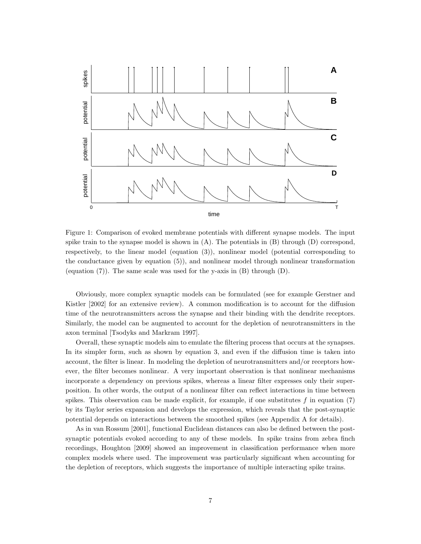

Figure 1: Comparison of evoked membrane potentials with different synapse models. The input spike train to the synapse model is shown in  $(A)$ . The potentials in  $(B)$  through  $(D)$  correspond, respectively, to the linear model (equation (3)), nonlinear model (potential corresponding to the conductance given by equation (5)), and nonlinear model through nonlinear transformation (equation  $(7)$ ). The same scale was used for the y-axis in  $(B)$  through  $(D)$ .

Obviously, more complex synaptic models can be formulated (see for example Gerstner and Kistler [2002] for an extensive review). A common modification is to account for the diffusion time of the neurotransmitters across the synapse and their binding with the dendrite receptors. Similarly, the model can be augmented to account for the depletion of neurotransmitters in the axon terminal [Tsodyks and Markram 1997].

Overall, these synaptic models aim to emulate the filtering process that occurs at the synapses. In its simpler form, such as shown by equation 3, and even if the diffusion time is taken into account, the filter is linear. In modeling the depletion of neurotransmitters and/or receptors however, the filter becomes nonlinear. A very important observation is that nonlinear mechanisms incorporate a dependency on previous spikes, whereas a linear filter expresses only their superposition. In other words, the output of a nonlinear filter can reflect interactions in time between spikes. This observation can be made explicit, for example, if one substitutes  $f$  in equation (7) by its Taylor series expansion and develops the expression, which reveals that the post-synaptic potential depends on interactions between the smoothed spikes (see Appendix A for details).

As in van Rossum [2001], functional Euclidean distances can also be defined between the postsynaptic potentials evoked according to any of these models. In spike trains from zebra finch recordings, Houghton [2009] showed an improvement in classification performance when more complex models where used. The improvement was particularly significant when accounting for the depletion of receptors, which suggests the importance of multiple interacting spike trains.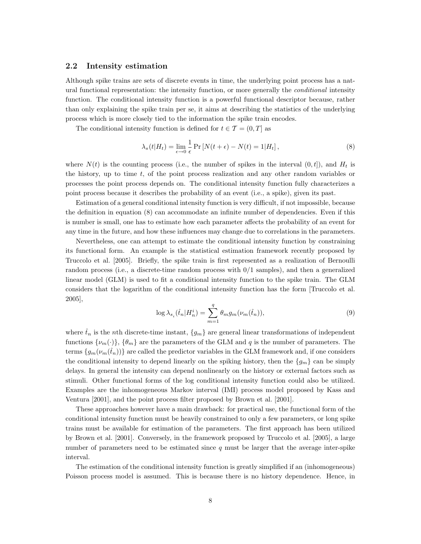#### 2.2 Intensity estimation

Although spike trains are sets of discrete events in time, the underlying point process has a natural functional representation: the intensity function, or more generally the *conditional* intensity function. The conditional intensity function is a powerful functional descriptor because, rather than only explaining the spike train per se, it aims at describing the statistics of the underlying process which is more closely tied to the information the spike train encodes.

The conditional intensity function is defined for  $t \in \mathcal{T} = (0, T]$  as

$$
\lambda_s(t|H_t) = \lim_{\epsilon \to 0} \frac{1}{\epsilon} \Pr\left[N(t+\epsilon) - N(t) = 1|H_t\right],\tag{8}
$$

where  $N(t)$  is the counting process (i.e., the number of spikes in the interval  $(0, t]$ ), and  $H_t$  is the history, up to time  $t$ , of the point process realization and any other random variables or processes the point process depends on. The conditional intensity function fully characterizes a point process because it describes the probability of an event (i.e., a spike), given its past.

Estimation of a general conditional intensity function is very difficult, if not impossible, because the definition in equation (8) can accommodate an infinite number of dependencies. Even if this is number is small, one has to estimate how each parameter affects the probability of an event for any time in the future, and how these influences may change due to correlations in the parameters.

Nevertheless, one can attempt to estimate the conditional intensity function by constraining its functional form. An example is the statistical estimation framework recently proposed by Truccolo et al. [2005]. Briefly, the spike train is first represented as a realization of Bernoulli random process (i.e., a discrete-time random process with 0/1 samples), and then a generalized linear model (GLM) is used to fit a conditional intensity function to the spike train. The GLM considers that the logarithm of the conditional intensity function has the form [Truccolo et al. 2005],

$$
\log \lambda_{s_i}(\hat{t}_n|H_n^i) = \sum_{m=1}^q \theta_m g_m(\nu_m(\hat{t}_n)),\tag{9}
$$

where  $\hat{t}_n$  is the nth discrete-time instant,  $\{g_m\}$  are general linear transformations of independent functions  $\{\nu_m(\cdot)\}, \{\theta_m\}$  are the parameters of the GLM and q is the number of parameters. The terms  $\{g_m(\nu_m(\hat{t}_n))\}$  are called the predictor variables in the GLM framework and, if one considers the conditional intensity to depend linearly on the spiking history, then the  $\{g_m\}$  can be simply delays. In general the intensity can depend nonlinearly on the history or external factors such as stimuli. Other functional forms of the log conditional intensity function could also be utilized. Examples are the inhomogeneous Markov interval (IMI) process model proposed by Kass and Ventura [2001], and the point process filter proposed by Brown et al. [2001].

These approaches however have a main drawback: for practical use, the functional form of the conditional intensity function must be heavily constrained to only a few parameters, or long spike trains must be available for estimation of the parameters. The first approach has been utilized by Brown et al. [2001]. Conversely, in the framework proposed by Truccolo et al. [2005], a large number of parameters need to be estimated since  $q$  must be larger that the average inter-spike interval.

The estimation of the conditional intensity function is greatly simplified if an (inhomogeneous) Poisson process model is assumed. This is because there is no history dependence. Hence, in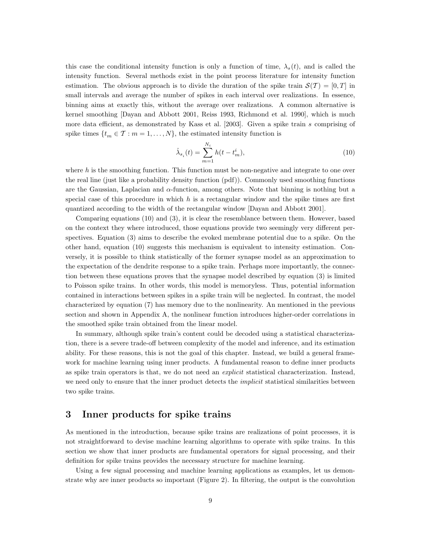this case the conditional intensity function is only a function of time,  $\lambda_s(t)$ , and is called the intensity function. Several methods exist in the point process literature for intensity function estimation. The obvious approach is to divide the duration of the spike train  $\mathcal{S}(\mathcal{T}) = [0, T]$  in small intervals and average the number of spikes in each interval over realizations. In essence, binning aims at exactly this, without the average over realizations. A common alternative is kernel smoothing [Dayan and Abbott 2001, Reiss 1993, Richmond et al. 1990], which is much more data efficient, as demonstrated by Kass et al.  $[2003]$ . Given a spike train s comprising of spike times  $\{t_m \in \mathcal{T} : m = 1, \ldots, N\}$ , the estimated intensity function is

$$
\hat{\lambda}_{s_i}(t) = \sum_{m=1}^{N_i} h(t - t_m^i),
$$
\n(10)

where  $h$  is the smoothing function. This function must be non-negative and integrate to one over the real line (just like a probability density function (pdf)). Commonly used smoothing functions are the Gaussian, Laplacian and  $\alpha$ -function, among others. Note that binning is nothing but a special case of this procedure in which  $h$  is a rectangular window and the spike times are first quantized according to the width of the rectangular window [Dayan and Abbott 2001].

Comparing equations (10) and (3), it is clear the resemblance between them. However, based on the context they where introduced, those equations provide two seemingly very different perspectives. Equation (3) aims to describe the evoked membrane potential due to a spike. On the other hand, equation (10) suggests this mechanism is equivalent to intensity estimation. Conversely, it is possible to think statistically of the former synapse model as an approximation to the expectation of the dendrite response to a spike train. Perhaps more importantly, the connection between these equations proves that the synapse model described by equation (3) is limited to Poisson spike trains. In other words, this model is memoryless. Thus, potential information contained in interactions between spikes in a spike train will be neglected. In contrast, the model characterized by equation (7) has memory due to the nonlinearity. An mentioned in the previous section and shown in Appendix A, the nonlinear function introduces higher-order correlations in the smoothed spike train obtained from the linear model.

In summary, although spike train's content could be decoded using a statistical characterization, there is a severe trade-off between complexity of the model and inference, and its estimation ability. For these reasons, this is not the goal of this chapter. Instead, we build a general framework for machine learning using inner products. A fundamental reason to define inner products as spike train operators is that, we do not need an *explicit* statistical characterization. Instead, we need only to ensure that the inner product detects the *implicit* statistical similarities between two spike trains.

# 3 Inner products for spike trains

As mentioned in the introduction, because spike trains are realizations of point processes, it is not straightforward to devise machine learning algorithms to operate with spike trains. In this section we show that inner products are fundamental operators for signal processing, and their definition for spike trains provides the necessary structure for machine learning.

Using a few signal processing and machine learning applications as examples, let us demonstrate why are inner products so important (Figure 2). In filtering, the output is the convolution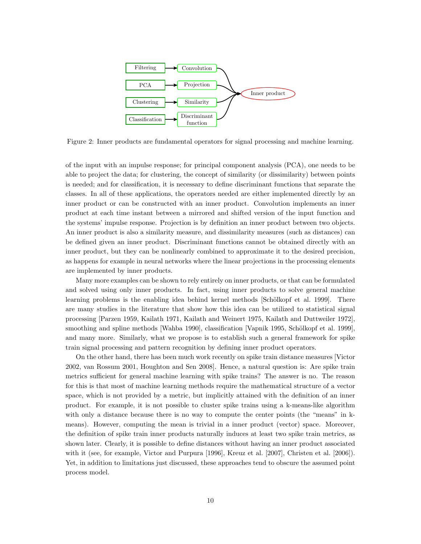

Figure 2: Inner products are fundamental operators for signal processing and machine learning.

of the input with an impulse response; for principal component analysis (PCA), one needs to be able to project the data; for clustering, the concept of similarity (or dissimilarity) between points is needed; and for classification, it is necessary to define discriminant functions that separate the classes. In all of these applications, the operators needed are either implemented directly by an inner product or can be constructed with an inner product. Convolution implements an inner product at each time instant between a mirrored and shifted version of the input function and the systems' impulse response. Projection is by definition an inner product between two objects. An inner product is also a similarity measure, and dissimilarity measures (such as distances) can be defined given an inner product. Discriminant functions cannot be obtained directly with an inner product, but they can be nonlinearly combined to approximate it to the desired precision, as happens for example in neural networks where the linear projections in the processing elements are implemented by inner products.

Many more examples can be shown to rely entirely on inner products, or that can be formulated and solved using only inner products. In fact, using inner products to solve general machine learning problems is the enabling idea behind kernel methods [Schölkopf et al. 1999]. There are many studies in the literature that show how this idea can be utilized to statistical signal processing [Parzen 1959, Kailath 1971, Kailath and Weinert 1975, Kailath and Duttweiler 1972], smoothing and spline methods [Wahba 1990], classification [Vapnik 1995, Schölkopf et al. 1999], and many more. Similarly, what we propose is to establish such a general framework for spike train signal processing and pattern recognition by defining inner product operators.

On the other hand, there has been much work recently on spike train distance measures [Victor 2002, van Rossum 2001, Houghton and Sen 2008]. Hence, a natural question is: Are spike train metrics sufficient for general machine learning with spike trains? The answer is no. The reason for this is that most of machine learning methods require the mathematical structure of a vector space, which is not provided by a metric, but implicitly attained with the definition of an inner product. For example, it is not possible to cluster spike trains using a k-means-like algorithm with only a distance because there is no way to compute the center points (the "means" in kmeans). However, computing the mean is trivial in a inner product (vector) space. Moreover, the definition of spike train inner products naturally induces at least two spike train metrics, as shown later. Clearly, it is possible to define distances without having an inner product associated with it (see, for example, Victor and Purpura [1996], Kreuz et al. [2007], Christen et al. [2006]). Yet, in addition to limitations just discussed, these approaches tend to obscure the assumed point process model.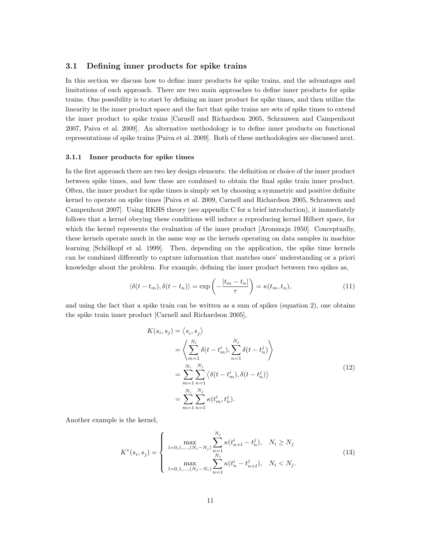#### 3.1 Defining inner products for spike trains

In this section we discuss how to define inner products for spike trains, and the advantages and limitations of each approach. There are two main approaches to define inner products for spike trains. One possibility is to start by defining an inner product for spike times, and then utilize the linearity in the inner product space and the fact that spike trains are sets of spike times to extend the inner product to spike trains [Carnell and Richardson 2005, Schrauwen and Campenhout 2007, Paiva et al. 2009]. An alternative methodology is to define inner products on functional representations of spike trains [Paiva et al. 2009]. Both of these methodologies are discussed next.

#### 3.1.1 Inner products for spike times

In the first approach there are two key design elements: the definition or choice of the inner product between spike times, and how these are combined to obtain the final spike train inner product. Often, the inner product for spike times is simply set by choosing a symmetric and positive definite kernel to operate on spike times [Paiva et al. 2009, Carnell and Richardson 2005, Schrauwen and Campenhout 2007]. Using RKHS theory (see appendix C for a brief introduction), it immediately follows that a kernel obeying these conditions will induce a reproducing kernel Hilbert space, for which the kernel represents the evaluation of the inner product [Aronszajn 1950]. Conceptually, these kernels operate much in the same way as the kernels operating on data samples in machine learning [Schölkopf et al. 1999]. Then, depending on the application, the spike time kernels can be combined differently to capture information that matches ones' understanding or a priori knowledge about the problem. For example, defining the inner product between two spikes as,

$$
\langle \delta(t - t_m), \delta(t - t_n) \rangle = \exp\left(-\frac{|t_m - t_n|}{\tau}\right) = \kappa(t_m, t_n),\tag{11}
$$

and using the fact that a spike train can be written as a sum of spikes (equation 2), one obtains the spike train inner product [Carnell and Richardson 2005],

$$
K(s_i, s_j) = \langle s_i, s_j \rangle
$$
  
=  $\left\langle \sum_{m=1}^{N_i} \delta(t - t_m^i), \sum_{n=1}^{N_j} \delta(t - t_n^j) \right\rangle$   
=  $\sum_{m=1}^{N_i} \sum_{n=1}^{N_j} \langle \delta(t - t_m^i), \delta(t - t_n^j) \rangle$   
=  $\sum_{m=1}^{N_i} \sum_{n=1}^{N_j} \kappa(t_m^i, t_n^j).$  (12)

Another example is the kernel,

$$
K^*(s_i, s_j) = \begin{cases} \max_{l=0,1,\dots,(N_i-N_j)} \sum_{n=1}^{N_j} \kappa(t_{n+l}^i - t_n^j), & N_i \ge N_j\\ \max_{l=0,1,\dots,(N_j-N_i)} \sum_{n=1}^{N_i} \kappa(t_n^i - t_{n+l}^j), & N_i < N_j. \end{cases} \tag{13}
$$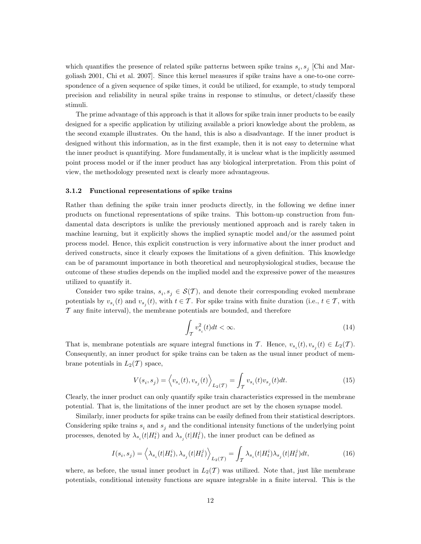which quantifies the presence of related spike patterns between spike trains  $s_i$ ,  $s_j$  [Chi and Margoliash 2001, Chi et al. 2007]. Since this kernel measures if spike trains have a one-to-one correspondence of a given sequence of spike times, it could be utilized, for example, to study temporal precision and reliability in neural spike trains in response to stimulus, or detect/classify these stimuli.

The prime advantage of this approach is that it allows for spike train inner products to be easily designed for a specific application by utilizing available a priori knowledge about the problem, as the second example illustrates. On the hand, this is also a disadvantage. If the inner product is designed without this information, as in the first example, then it is not easy to determine what the inner product is quantifying. More fundamentally, it is unclear what is the implicitly assumed point process model or if the inner product has any biological interpretation. From this point of view, the methodology presented next is clearly more advantageous.

#### 3.1.2 Functional representations of spike trains

Rather than defining the spike train inner products directly, in the following we define inner products on functional representations of spike trains. This bottom-up construction from fundamental data descriptors is unlike the previously mentioned approach and is rarely taken in machine learning, but it explicitly shows the implied synaptic model and/or the assumed point process model. Hence, this explicit construction is very informative about the inner product and derived constructs, since it clearly exposes the limitations of a given definition. This knowledge can be of paramount importance in both theoretical and neurophysiological studies, because the outcome of these studies depends on the implied model and the expressive power of the measures utilized to quantify it.

Consider two spike trains,  $s_i, s_j \in \mathcal{S}(\mathcal{T})$ , and denote their corresponding evoked membrane potentials by  $v_{s_i}(t)$  and  $v_{s_j}(t)$ , with  $t \in \mathcal{T}$ . For spike trains with finite duration (i.e.,  $t \in \mathcal{T}$ , with  $\mathcal T$  any finite interval), the membrane potentials are bounded, and therefore

$$
\int_{\mathcal{T}} v_{s_i}^2(t)dt < \infty. \tag{14}
$$

That is, membrane potentials are square integral functions in T. Hence,  $v_{s_i}(t), v_{s_j}(t) \in L_2(T)$ . Consequently, an inner product for spike trains can be taken as the usual inner product of membrane potentials in  $L_2(\mathcal{T})$  space,

$$
V(s_i, s_j) = \left\langle v_{s_i}(t), v_{s_j}(t) \right\rangle_{L_2(\mathcal{T})} = \int_{\mathcal{T}} v_{s_i}(t) v_{s_j}(t) dt.
$$
 (15)

Clearly, the inner product can only quantify spike train characteristics expressed in the membrane potential. That is, the limitations of the inner product are set by the chosen synapse model.

Similarly, inner products for spike trains can be easily defined from their statistical descriptors. Considering spike trains  $s_i$  and  $s_j$  and the conditional intensity functions of the underlying point processes, denoted by  $\lambda_{s_i}(t|H_t^i)$  and  $\lambda_{s_j}(t|H_t^j)$ , the inner product can be defined as

$$
I(s_i, s_j) = \left\langle \lambda_{s_i}(t | H_t^i), \lambda_{s_j}(t | H_t^j) \right\rangle_{L_2(\mathcal{T})} = \int_{\mathcal{T}} \lambda_{s_i}(t | H_t^i) \lambda_{s_j}(t | H_t^j) dt,
$$
\n(16)

where, as before, the usual inner product in  $L_2(\mathcal{T})$  was utilized. Note that, just like membrane potentials, conditional intensity functions are square integrable in a finite interval. This is the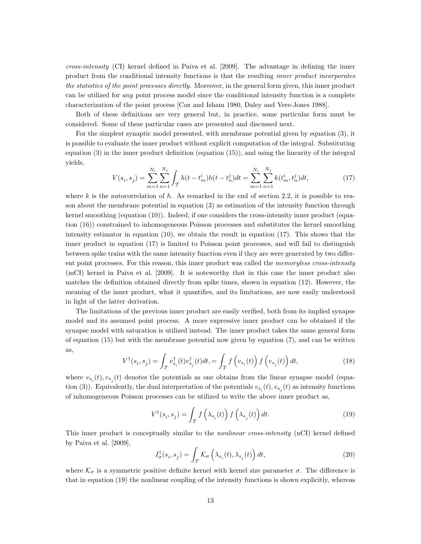cross-intensity (CI) kernel defined in Paiva et al. [2009]. The advantage in defining the inner product from the conditional intensity functions is that the resulting inner product incorporates the statistics of the point processes directly. Moreover, in the general form given, this inner product can be utilized for any point process model since the conditional intensity function is a complete characterization of the point process [Cox and Isham 1980, Daley and Vere-Jones 1988].

Both of these definitions are very general but, in practice, some particular form must be considered. Some of these particular cases are presented and discussed next.

For the simplest synaptic model presented, with membrane potential given by equation (3), it is possible to evaluate the inner product without explicit computation of the integral. Substituting equation (3) in the inner product definition (equation (15)), and using the linearity of the integral yields,

$$
V(s_i, s_j) = \sum_{m=1}^{N_i} \sum_{n=1}^{N_j} \int_{\mathcal{T}} h(t - t_m^i) h(t - t_n^j) dt = \sum_{m=1}^{N_i} \sum_{n=1}^{N_j} k(t_m^i, t_n^j) dt,
$$
\n(17)

where k is the autocorrelation of h. As remarked in the end of section 2.2, it is possible to reason about the membrane potential in equation (3) as estimation of the intensity function through kernel smoothing (equation (10)). Indeed, if one considers the cross-intensity inner product (equation (16)) constrained to inhomogeneous Poisson processes and substitutes the kernel smoothing intensity estimator in equation (10), we obtain the result in equation (17). This shows that the inner product in equation (17) is limited to Poisson point processes, and will fail to distinguish between spike trains with the same intensity function even if they are were generated by two different point processes. For this reason, this inner product was called the memoryless cross-intensity (mCI) kernel in Paiva et al. [2009]. It is noteworthy that in this case the inner product also matches the definition obtained directly from spike times, shown in equation (12). However, the meaning of the inner product, what it quantifies, and its limitations, are now easily understood in light of the latter derivation.

The limitations of the previous inner product are easily verified, both from its implied synapse model and its assumed point process. A more expressive inner product can be obtained if the synapse model with saturation is utilized instead. The inner product takes the same general form of equation  $(15)$  but with the membrane potential now given by equation  $(7)$ , and can be written as,

$$
V^{\dagger}(s_i, s_j) = \int_{\mathcal{T}} v_{s_i}^{\dagger}(t) v_{s_j}^{\dagger}(t) dt, = \int_{\mathcal{T}} f\left(v_{s_i}(t)\right) f\left(v_{s_j}(t)\right) dt,\tag{18}
$$

where  $v_{s_i}(t), v_{s_j}(t)$  denotes the potentials as one obtains from the linear synapse model (equation (3)). Equivalently, the dual interpretation of the potentials  $v_{s_i}(t), v_{s_j}(t)$  as intensity functions of inhomogeneous Poisson processes can be utilized to write the above inner product as,

$$
V^{\dagger}(s_i, s_j) = \int_{\mathcal{T}} f\left(\lambda_{s_i}(t)\right) f\left(\lambda_{s_j}(t)\right) dt. \tag{19}
$$

This inner product is conceptually similar to the *nonlinear cross-intensity* (nCI) kernel defined by Paiva et al. [2009],

$$
I_{\sigma}^{\dagger}(s_i, s_j) = \int_{\mathcal{T}} \mathcal{K}_{\sigma} \left( \lambda_{s_i}(t), \lambda_{s_j}(t) \right) dt, \tag{20}
$$

where  $\mathcal{K}_{\sigma}$  is a symmetric positive definite kernel with kernel size parameter  $\sigma$ . The difference is that in equation (19) the nonlinear coupling of the intensity functions is shown explicitly, whereas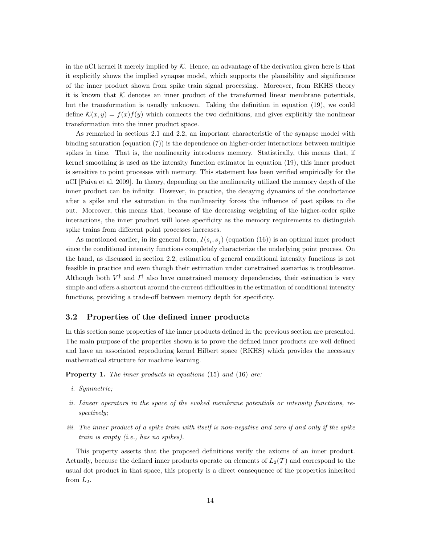in the nCI kernel it merely implied by  $K$ . Hence, an advantage of the derivation given here is that it explicitly shows the implied synapse model, which supports the plausibility and significance of the inner product shown from spike train signal processing. Moreover, from RKHS theory it is known that  $K$  denotes an inner product of the transformed linear membrane potentials, but the transformation is usually unknown. Taking the definition in equation (19), we could define  $\mathcal{K}(x, y) = f(x)f(y)$  which connects the two definitions, and gives explicitly the nonlinear transformation into the inner product space.

As remarked in sections 2.1 and 2.2, an important characteristic of the synapse model with binding saturation (equation (7)) is the dependence on higher-order interactions between multiple spikes in time. That is, the nonlinearity introduces memory. Statistically, this means that, if kernel smoothing is used as the intensity function estimator in equation (19), this inner product is sensitive to point processes with memory. This statement has been verified empirically for the nCI [Paiva et al. 2009]. In theory, depending on the nonlinearity utilized the memory depth of the inner product can be infinity. However, in practice, the decaying dynamics of the conductance after a spike and the saturation in the nonlinearity forces the influence of past spikes to die out. Moreover, this means that, because of the decreasing weighting of the higher-order spike interactions, the inner product will loose specificity as the memory requirements to distinguish spike trains from different point processes increases.

As mentioned earlier, in its general form,  $I(s_i, s_j)$  (equation (16)) is an optimal inner product since the conditional intensity functions completely characterize the underlying point process. On the hand, as discussed in section 2.2, estimation of general conditional intensity functions is not feasible in practice and even though their estimation under constrained scenarios is troublesome. Although both  $V^{\dagger}$  and  $I^{\dagger}$  also have constrained memory dependencies, their estimation is very simple and offers a shortcut around the current difficulties in the estimation of conditional intensity functions, providing a trade-off between memory depth for specificity.

#### 3.2 Properties of the defined inner products

In this section some properties of the inner products defined in the previous section are presented. The main purpose of the properties shown is to prove the defined inner products are well defined and have an associated reproducing kernel Hilbert space (RKHS) which provides the necessary mathematical structure for machine learning.

Property 1. The inner products in equations (15) and (16) are:

- i. Symmetric;
- ii. Linear operators in the space of the evoked membrane potentials or intensity functions, respectively;
- iii. The inner product of a spike train with itself is non-negative and zero if and only if the spike train is empty (i.e., has no spikes).

This property asserts that the proposed definitions verify the axioms of an inner product. Actually, because the defined inner products operate on elements of  $L_2(\mathcal{T})$  and correspond to the usual dot product in that space, this property is a direct consequence of the properties inherited from  $L_2$ .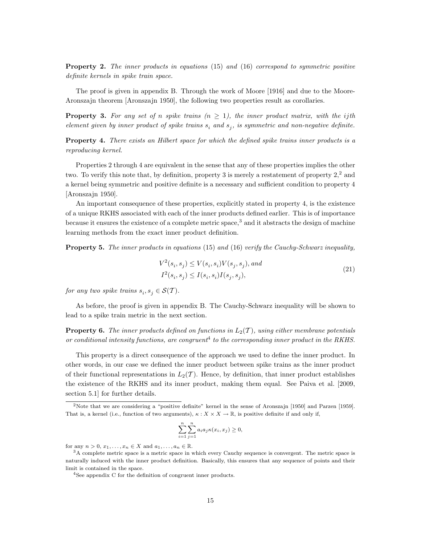Property 2. The inner products in equations (15) and (16) correspond to symmetric positive definite kernels in spike train space.

The proof is given in appendix B. Through the work of Moore [1916] and due to the Moore-Aronszajn theorem [Aronszajn 1950], the following two properties result as corollaries.

**Property 3.** For any set of n spike trains  $(n \geq 1)$ , the inner product matrix, with the ijth element given by inner product of spike trains  $s_i$  and  $s_j$ , is symmetric and non-negative definite.

Property 4. There exists an Hilbert space for which the defined spike trains inner products is a reproducing kernel.

Properties 2 through 4 are equivalent in the sense that any of these properties implies the other two. To verify this note that, by definition, property 3 is merely a restatement of property  $2<sup>2</sup>$  and a kernel being symmetric and positive definite is a necessary and sufficient condition to property 4 [Aronszajn 1950].

An important consequence of these properties, explicitly stated in property 4, is the existence of a unique RKHS associated with each of the inner products defined earlier. This is of importance because it ensures the existence of a complete metric space,<sup>3</sup> and it abstracts the design of machine learning methods from the exact inner product definition.

Property 5. The inner products in equations (15) and (16) verify the Cauchy-Schwarz inequality,

$$
V^2(s_i, s_j) \le V(s_i, s_i)V(s_j, s_j), and
$$
  

$$
I^2(s_i, s_j) \le I(s_i, s_i)I(s_j, s_j),
$$
\n
$$
(21)
$$

for any two spike trains  $s_i, s_j \in \mathcal{S}(\mathcal{T})$ .

As before, the proof is given in appendix B. The Cauchy-Schwarz inequality will be shown to lead to a spike train metric in the next section.

**Property 6.** The inner products defined on functions in  $L_2(\mathcal{T})$ , using either membrane potentials or conditional intensity functions, are congruent<sup>4</sup> to the corresponding inner product in the RKHS.

This property is a direct consequence of the approach we used to define the inner product. In other words, in our case we defined the inner product between spike trains as the inner product of their functional representations in  $L_2(\mathcal{T})$ . Hence, by definition, that inner product establishes the existence of the RKHS and its inner product, making them equal. See Paiva et al. [2009, section 5.1] for further details.

$$
\sum_{i=1}^{n} \sum_{j=1}^{n} a_i a_j \kappa(x_i, x_j) \ge 0,
$$

for any  $n > 0$ ,  $x_1, \ldots, x_n \in X$  and  $a_1, \ldots, a_n \in \mathbb{R}$ .

<sup>2</sup>Note that we are considering a "positive definite" kernel in the sense of Aronszajn [1950] and Parzen [1959]. That is, a kernel (i.e., function of two arguments),  $\kappa : X \times X \to \mathbb{R}$ , is positive definite if and only if,

<sup>3</sup>A complete metric space is a metric space in which every Cauchy sequence is convergent. The metric space is naturally induced with the inner product definition. Basically, this ensures that any sequence of points and their limit is contained in the space.

<sup>&</sup>lt;sup>4</sup>See appendix C for the definition of congruent inner products.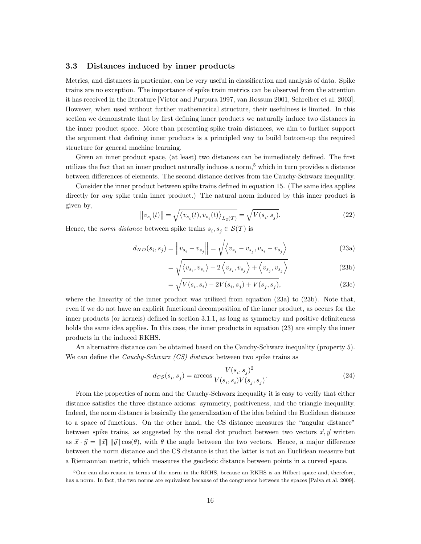#### 3.3 Distances induced by inner products

Metrics, and distances in particular, can be very useful in classification and analysis of data. Spike trains are no exception. The importance of spike train metrics can be observed from the attention it has received in the literature [Victor and Purpura 1997, van Rossum 2001, Schreiber et al. 2003]. However, when used without further mathematical structure, their usefulness is limited. In this section we demonstrate that by first defining inner products we naturally induce two distances in the inner product space. More than presenting spike train distances, we aim to further support the argument that defining inner products is a principled way to build bottom-up the required structure for general machine learning.

Given an inner product space, (at least) two distances can be immediately defined. The first utilizes the fact that an inner product naturally induces a norm,  $5$  which in turn provides a distance between differences of elements. The second distance derives from the Cauchy-Schwarz inequality.

Consider the inner product between spike trains defined in equation 15. (The same idea applies directly for *any* spike train inner product.) The natural norm induced by this inner product is given by,

$$
\|v_{s_i}(t)\| = \sqrt{\langle v_{s_i}(t), v_{s_i}(t) \rangle_{L_2(\mathcal{T})}} = \sqrt{V(s_i, s_j)}.
$$
\n(22)

Hence, the *norm distance* between spike trains  $s_i, s_j \in \mathcal{S}(\mathcal{T})$  is

$$
d_{ND}(s_i, s_j) = \left\| v_{s_i} - v_{s_j} \right\| = \sqrt{\left\langle v_{s_i} - v_{s_j}, v_{s_i} - v_{s_j} \right\rangle}
$$
(23a)

$$
= \sqrt{\langle v_{s_i}, v_{s_i} \rangle - 2\langle v_{s_i}, v_{s_j} \rangle + \langle v_{s_j}, v_{s_j} \rangle}
$$
 (23b)

$$
= \sqrt{V(s_i, s_i) - 2V(s_i, s_j) + V(s_j, s_j)},
$$
\n(23c)

where the linearity of the inner product was utilized from equation (23a) to (23b). Note that, even if we do not have an explicit functional decomposition of the inner product, as occurs for the inner products (or kernels) defined in section 3.1.1, as long as symmetry and positive definiteness holds the same idea applies. In this case, the inner products in equation (23) are simply the inner products in the induced RKHS.

An alternative distance can be obtained based on the Cauchy-Schwarz inequality (property 5). We can define the *Cauchy-Schwarz (CS)* distance between two spike trains as

$$
d_{CS}(s_i, s_j) = \arccos \frac{V(s_i, s_j)^2}{V(s_i, s_i)V(s_j, s_j)}.\tag{24}
$$

From the properties of norm and the Cauchy-Schwarz inequality it is easy to verify that either distance satisfies the three distance axioms: symmetry, positiveness, and the triangle inequality. Indeed, the norm distance is basically the generalization of the idea behind the Euclidean distance to a space of functions. On the other hand, the CS distance measures the "angular distance" between spike trains, as suggested by the usual dot product between two vectors  $\vec{x}, \vec{y}$  written as  $\vec{x} \cdot \vec{y} = ||\vec{x}|| \, ||\vec{y}|| \cos(\theta)$ , with  $\theta$  the angle between the two vectors. Hence, a major difference between the norm distance and the CS distance is that the latter is not an Euclidean measure but a Riemannian metric, which measures the geodesic distance between points in a curved space.

<sup>5</sup>One can also reason in terms of the norm in the RKHS, because an RKHS is an Hilbert space and, therefore, has a norm. In fact, the two norms are equivalent because of the congruence between the spaces [Paiva et al. 2009].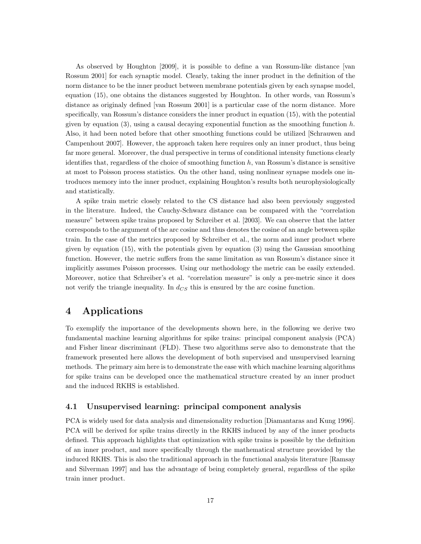As observed by Houghton [2009], it is possible to define a van Rossum-like distance [van Rossum 2001] for each synaptic model. Clearly, taking the inner product in the definition of the norm distance to be the inner product between membrane potentials given by each synapse model, equation (15), one obtains the distances suggested by Houghton. In other words, van Rossum's distance as originaly defined [van Rossum 2001] is a particular case of the norm distance. More specifically, van Rossum's distance considers the inner product in equation (15), with the potential given by equation (3), using a causal decaying exponential function as the smoothing function  $h$ . Also, it had been noted before that other smoothing functions could be utilized [Schrauwen and Campenhout 2007]. However, the approach taken here requires only an inner product, thus being far more general. Moreover, the dual perspective in terms of conditional intensity functions clearly identifies that, regardless of the choice of smoothing function  $h$ , van Rossum's distance is sensitive at most to Poisson process statistics. On the other hand, using nonlinear synapse models one introduces memory into the inner product, explaining Houghton's results both neurophysiologically and statistically.

A spike train metric closely related to the CS distance had also been previously suggested in the literature. Indeed, the Cauchy-Schwarz distance can be compared with the "correlation measure" between spike trains proposed by Schreiber et al. [2003]. We can observe that the latter corresponds to the argument of the arc cosine and thus denotes the cosine of an angle between spike train. In the case of the metrics proposed by Schreiber et al., the norm and inner product where given by equation (15), with the potentials given by equation (3) using the Gaussian smoothing function. However, the metric suffers from the same limitation as van Rossum's distance since it implicitly assumes Poisson processes. Using our methodology the metric can be easily extended. Moreover, notice that Schreiber's et al. "correlation measure" is only a pre-metric since it does not verify the triangle inequality. In  $d_{CS}$  this is ensured by the arc cosine function.

# 4 Applications

To exemplify the importance of the developments shown here, in the following we derive two fundamental machine learning algorithms for spike trains: principal component analysis (PCA) and Fisher linear discriminant (FLD). These two algorithms serve also to demonstrate that the framework presented here allows the development of both supervised and unsupervised learning methods. The primary aim here is to demonstrate the ease with which machine learning algorithms for spike trains can be developed once the mathematical structure created by an inner product and the induced RKHS is established.

#### 4.1 Unsupervised learning: principal component analysis

PCA is widely used for data analysis and dimensionality reduction [Diamantaras and Kung 1996]. PCA will be derived for spike trains directly in the RKHS induced by any of the inner products defined. This approach highlights that optimization with spike trains is possible by the definition of an inner product, and more specifically through the mathematical structure provided by the induced RKHS. This is also the traditional approach in the functional analysis literature [Ramsay and Silverman 1997] and has the advantage of being completely general, regardless of the spike train inner product.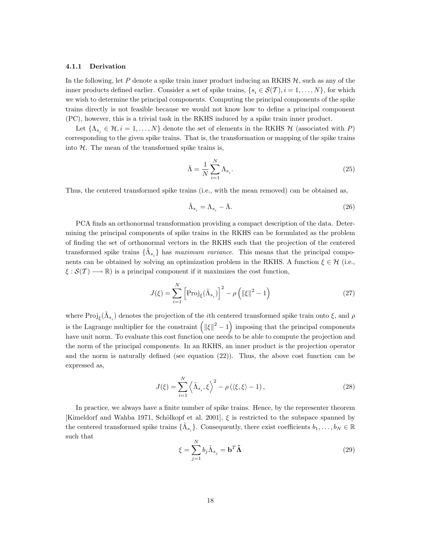#### 4.1.1 Derivation

In the following, let P denote a spike train inner product inducing an RKHS  $H$ , such as any of the inner products defined earlier. Consider a set of spike trains,  $\{s_i \in \mathcal{S}(T), i = 1, \ldots, N\}$ , for which we wish to determine the principal components. Computing the principal components of the spike trains directly is not feasible because we would not know how to define a principal component (PC), however, this is a trivial task in the RKHS induced by a spike train inner product.

Let  $\{\Lambda_{s_i} \in \mathcal{H}, i = 1, \ldots, N\}$  denote the set of elements in the RKHS  $\mathcal{H}$  (associated with P) corresponding to the given spike trains. That is, the transformation or mapping of the spike trains into  $H$ . The mean of the transformed spike trains is,

$$
\bar{\Lambda} = \frac{1}{N} \sum_{i=1}^{N} \Lambda_{s_i}.
$$
\n(25)

Thus, the centered transformed spike trains (i.e., with the mean removed) can be obtained as,

$$
\tilde{\Lambda}_{s_i} = \Lambda_{s_i} - \bar{\Lambda}.\tag{26}
$$

PCA finds an orthonormal transformation providing a compact description of the data. Determining the principal components of spike trains in the RKHS can be formulated as the problem of finding the set of orthonormal vectors in the RKHS such that the projection of the centered transformed spike trains  $\{\tilde{\Lambda}_{s_i}\}\$  has maximum variance. This means that the principal components can be obtained by solving an optimization problem in the RKHS. A function  $\xi \in \mathcal{H}$  (i.e.,  $\xi : \mathcal{S}(\mathcal{T}) \longrightarrow \mathbb{R}$ ) is a principal component if it maximizes the cost function,

$$
J(\xi) = \sum_{i=1}^{N} \left[ \text{Proj}_{\xi}(\tilde{\Lambda}_{s_i}) \right]^2 - \rho \left( \|\xi\|^2 - 1 \right)
$$
 (27)

where  $\text{Proj}_{\xi}(\tilde{\Lambda}_{s_i})$  denotes the projection of the *i*th centered transformed spike train onto  $\xi$ , and  $\rho$ is the Lagrange multiplier for the constraint  $\left( \|\xi\|^2 - 1 \right)$  imposing that the principal components have unit norm. To evaluate this cost function one needs to be able to compute the projection and the norm of the principal components. In an RKHS, an inner product is the projection operator and the norm is naturally defined (see equation (22)). Thus, the above cost function can be expressed as,

$$
J(\xi) = \sum_{i=1}^{N} \left\langle \tilde{\Lambda}_{s_i}, \xi \right\rangle^2 - \rho \left( \langle \xi, \xi \rangle - 1 \right),\tag{28}
$$

In practice, we always have a finite number of spike trains. Hence, by the representer theorem [Kimeldorf and Wahba 1971, Schölkopf et al. 2001],  $\xi$  is restricted to the subspace spanned by the centered transformed spike trains  $\{\tilde{\Lambda}_{s_i}\}\$ . Consequently, there exist coefficients  $b_1, \ldots, b_N \in \mathbb{R}$ such that

$$
\xi = \sum_{j=1}^{N} b_j \tilde{\Lambda}_{s_j} = \mathbf{b}^T \tilde{\mathbf{\Lambda}} \tag{29}
$$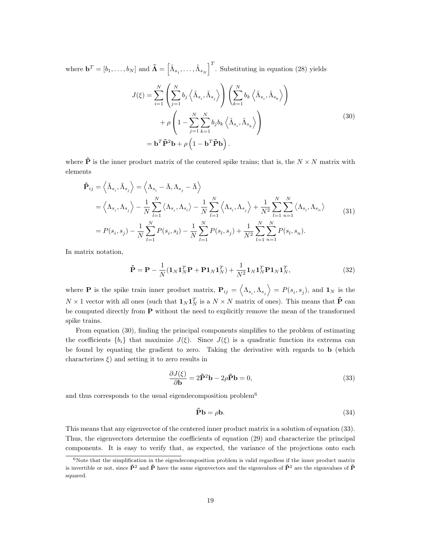where  $\mathbf{b}^T = [b_1, \ldots, b_N]$  and  $\tilde{\mathbf{\Lambda}} = \begin{bmatrix} \tilde{\Lambda}_{s_1}, \ldots, \tilde{\Lambda}_{s_N} \end{bmatrix}^T$ . Substituting in equation (28) yields

$$
J(\xi) = \sum_{i=1}^{N} \left( \sum_{j=1}^{N} b_j \left\langle \tilde{\Lambda}_{s_i}, \tilde{\Lambda}_{s_j} \right\rangle \right) \left( \sum_{k=1}^{N} b_k \left\langle \tilde{\Lambda}_{s_i}, \tilde{\Lambda}_{s_k} \right\rangle \right) + \rho \left( 1 - \sum_{j=1}^{N} \sum_{k=1}^{N} b_j b_k \left\langle \tilde{\Lambda}_{s_i}, \tilde{\Lambda}_{s_k} \right\rangle \right) = \mathbf{b}^T \tilde{\mathbf{P}}^2 \mathbf{b} + \rho \left( 1 - \mathbf{b}^T \tilde{\mathbf{P}} \mathbf{b} \right).
$$
 (30)

where  $\tilde{\mathbf{P}}$  is the inner product matrix of the centered spike trains; that is, the  $N \times N$  matrix with elements

$$
\tilde{\mathbf{P}}_{ij} = \left\langle \tilde{\Lambda}_{s_i}, \tilde{\Lambda}_{s_j} \right\rangle = \left\langle \Lambda_{s_i} - \bar{\Lambda}, \Lambda_{s_j} - \bar{\Lambda} \right\rangle \n= \left\langle \Lambda_{s_i}, \Lambda_{s_j} \right\rangle - \frac{1}{N} \sum_{l=1}^N \left\langle \Lambda_{s_i}, \Lambda_{s_l} \right\rangle - \frac{1}{N} \sum_{l=1}^N \left\langle \Lambda_{s_l}, \Lambda_{s_j} \right\rangle + \frac{1}{N^2} \sum_{l=1}^N \sum_{n=1}^N \left\langle \Lambda_{s_l}, \Lambda_{s_n} \right\rangle \n= P(s_i, s_j) - \frac{1}{N} \sum_{l=1}^N P(s_i, s_l) - \frac{1}{N} \sum_{l=1}^N P(s_l, s_j) + \frac{1}{N^2} \sum_{l=1}^N \sum_{n=1}^N P(s_l, s_n).
$$
\n(31)

In matrix notation,

$$
\tilde{\mathbf{P}} = \mathbf{P} - \frac{1}{N} (\mathbf{1}_N \mathbf{1}_N^T \mathbf{P} + \mathbf{P} \mathbf{1}_N \mathbf{1}_N^T) + \frac{1}{N^2} \mathbf{1}_N \mathbf{1}_N^T \mathbf{P} \mathbf{1}_N \mathbf{1}_N^T,
$$
\n(32)

where **P** is the spike train inner product matrix,  $P_{ij} = \langle \Lambda_{s_i}, \Lambda_{s_j} \rangle = P(s_i, s_j)$ , and  $\mathbf{1}_N$  is the  $N \times 1$  vector with all ones (such that  $\mathbf{1}_N \mathbf{1}_N^T$  is a  $N \times N$  matrix of ones). This means that  $\tilde{\mathbf{P}}$  can be computed directly from P without the need to explicitly remove the mean of the transformed spike trains.

From equation (30), finding the principal components simplifies to the problem of estimating the coefficients  ${b_i}$  that maximize  $J(\xi)$ . Since  $J(\xi)$  is a quadratic function its extrema can be found by equating the gradient to zero. Taking the derivative with regards to b (which characterizes  $\xi$ ) and setting it to zero results in

$$
\frac{\partial J(\xi)}{\partial \mathbf{b}} = 2\tilde{\mathbf{P}}^2 \mathbf{b} - 2\rho \tilde{\mathbf{P}} \mathbf{b} = 0,
$$
\n(33)

and thus corresponds to the usual eigendecomposition problem<sup>6</sup>

$$
\tilde{\mathbf{P}}\mathbf{b} = \rho \mathbf{b}.\tag{34}
$$

This means that any eigenvector of the centered inner product matrix is a solution of equation (33). Thus, the eigenvectors determine the coefficients of equation (29) and characterize the principal components. It is easy to verify that, as expected, the variance of the projections onto each

 $6$ Note that the simplification in the eigendecomposition problem is valid regardless if the inner product matrix is invertible or not, since  $\tilde{P}^2$  and  $\tilde{P}$  have the same eigenvectors and the eigenvalues of  $\tilde{P}^2$  are the eigenvalues of  $\tilde{P}$ squared.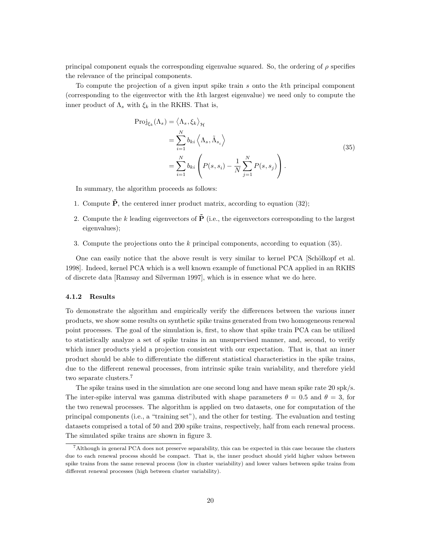principal component equals the corresponding eigenvalue squared. So, the ordering of  $\rho$  specifies the relevance of the principal components.

To compute the projection of a given input spike train s onto the kth principal component (corresponding to the eigenvector with the kth largest eigenvalue) we need only to compute the inner product of  $\Lambda_s$  with  $\xi_k$  in the RKHS. That is,

$$
\begin{split} \text{Proj}_{\xi_{k}}(\Lambda_{s}) &= \langle \Lambda_{s}, \xi_{k} \rangle_{\mathcal{H}} \\ &= \sum_{i=1}^{N} b_{ki} \left\langle \Lambda_{s}, \tilde{\Lambda}_{s_{i}} \right\rangle \\ &= \sum_{i=1}^{N} b_{ki} \left( P(s, s_{i}) - \frac{1}{N} \sum_{j=1}^{N} P(s, s_{j}) \right). \end{split} \tag{35}
$$

In summary, the algorithm proceeds as follows:

- 1. Compute  $\tilde{P}$ , the centered inner product matrix, according to equation (32);
- 2. Compute the k leading eigenvectors of  $\tilde{\mathbf{P}}$  (i.e., the eigenvectors corresponding to the largest eigenvalues);
- 3. Compute the projections onto the  $k$  principal components, according to equation (35).

One can easily notice that the above result is very similar to kernel PCA [Schölkopf et al. 1998]. Indeed, kernel PCA which is a well known example of functional PCA applied in an RKHS of discrete data [Ramsay and Silverman 1997], which is in essence what we do here.

#### 4.1.2 Results

To demonstrate the algorithm and empirically verify the differences between the various inner products, we show some results on synthetic spike trains generated from two homogeneous renewal point processes. The goal of the simulation is, first, to show that spike train PCA can be utilized to statistically analyze a set of spike trains in an unsupervised manner, and, second, to verify which inner products yield a projection consistent with our expectation. That is, that an inner product should be able to differentiate the different statistical characteristics in the spike trains, due to the different renewal processes, from intrinsic spike train variability, and therefore yield two separate clusters.<sup>7</sup>

The spike trains used in the simulation are one second long and have mean spike rate 20 spk/s. The inter-spike interval was gamma distributed with shape parameters  $\theta = 0.5$  and  $\theta = 3$ , for the two renewal processes. The algorithm is applied on two datasets, one for computation of the principal components (i.e., a "training set"), and the other for testing. The evaluation and testing datasets comprised a total of 50 and 200 spike trains, respectively, half from each renewal process. The simulated spike trains are shown in figure 3.

<sup>7</sup>Although in general PCA does not preserve separability, this can be expected in this case because the clusters due to each renewal process should be compact. That is, the inner product should yield higher values between spike trains from the same renewal process (low in cluster variability) and lower values between spike trains from different renewal processes (high between cluster variability).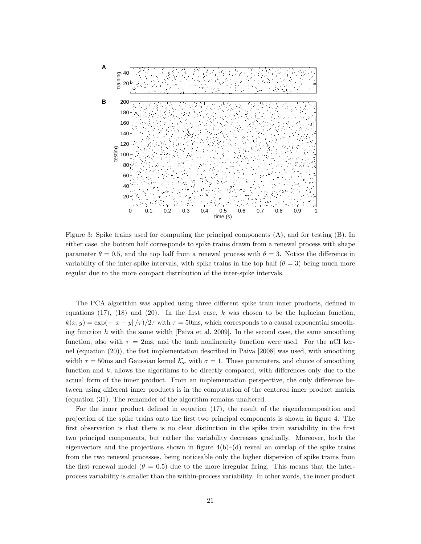

Figure 3: Spike trains used for computing the principal components (A), and for testing (B). In either case, the bottom half corresponds to spike trains drawn from a renewal process with shape parameter  $\theta = 0.5$ , and the top half from a renewal process with  $\theta = 3$ . Notice the difference in variability of the inter-spike intervals, with spike trains in the top half  $(\theta = 3)$  being much more regular due to the more compact distribution of the inter-spike intervals.

The PCA algorithm was applied using three different spike train inner products, defined in equations (17), (18) and (20). In the first case, k was chosen to be the laplacian function,  $k(x, y) = \exp(-|x - y|/\tau)/2\tau$  with  $\tau = 50$ ms, which corresponds to a causal exponential smoothing function  $h$  with the same width [Paiva et al. 2009]. In the second case, the same smoothing function, also with  $\tau = 2$ ms, and the tanh nonlinearity function were used. For the nCI kernel (equation (20)), the fast implementation described in Paiva [2008] was used, with smoothing width  $\tau = 50$ ms and Gaussian kernel  $K_{\sigma}$  with  $\sigma = 1$ . These parameters, and choice of smoothing function and  $k$ , allows the algorithms to be directly compared, with differences only due to the actual form of the inner product. From an implementation perspective, the only difference between using different inner products is in the computation of the centered inner product matrix (equation (31). The remainder of the algorithm remains unaltered.

For the inner product defined in equation (17), the result of the eigendecomposition and projection of the spike trains onto the first two principal components is shown in figure 4. The first observation is that there is no clear distinction in the spike train variability in the first two principal components, but rather the variability decreases gradually. Moreover, both the eigenvectors and the projections shown in figure  $4(b)$ –(d) reveal an overlap of the spike trains from the two renewal processes, being noticeable only the higher dispersion of spike trains from the first renewal model ( $\theta = 0.5$ ) due to the more irregular firing. This means that the interprocess variability is smaller than the within-process variability. In other words, the inner product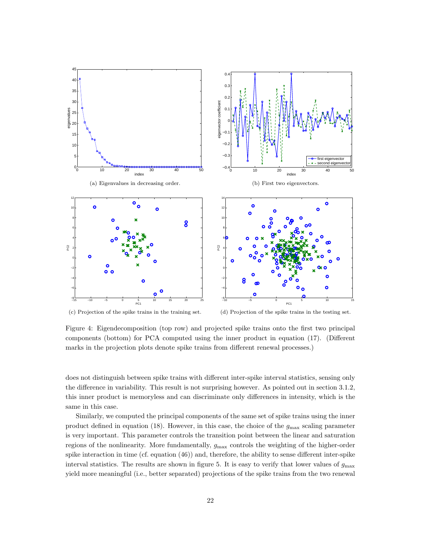

(c) Projection of the spike trains in the training set. (d) Projection of the spike trains in the testing set.

Figure 4: Eigendecomposition (top row) and projected spike trains onto the first two principal components (bottom) for PCA computed using the inner product in equation (17). (Different marks in the projection plots denote spike trains from different renewal processes.)

does not distinguish between spike trains with different inter-spike interval statistics, sensing only the difference in variability. This result is not surprising however. As pointed out in section 3.1.2, this inner product is memoryless and can discriminate only differences in intensity, which is the same in this case.

Similarly, we computed the principal components of the same set of spike trains using the inner product defined in equation (18). However, in this case, the choice of the  $g_{\text{max}}$  scaling parameter is very important. This parameter controls the transition point between the linear and saturation regions of the nonlinearity. More fundamentally,  $g_{\text{max}}$  controls the weighting of the higher-order spike interaction in time (cf. equation (46)) and, therefore, the ability to sense different inter-spike interval statistics. The results are shown in figure 5. It is easy to verify that lower values of  $g_{\text{max}}$ yield more meaningful (i.e., better separated) projections of the spike trains from the two renewal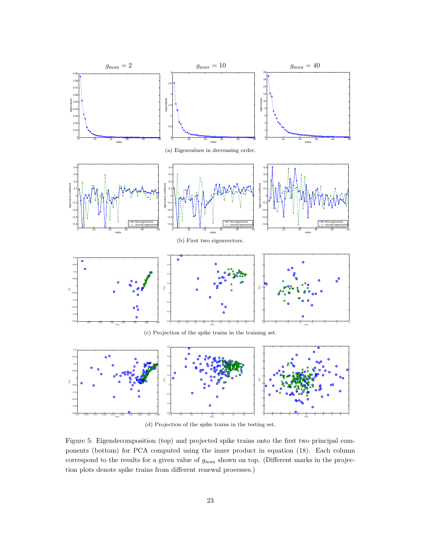



(d) Projection of the spike trains in the testing set.

Figure 5: Eigendecomposition (top) and projected spike trains onto the first two principal components (bottom) for PCA computed using the inner product in equation (18). Each column correspond to the results for a given value of  $g_{\text{max}}$  shown on top. (Different marks in the projection plots denote spike trains from different renewal processes.)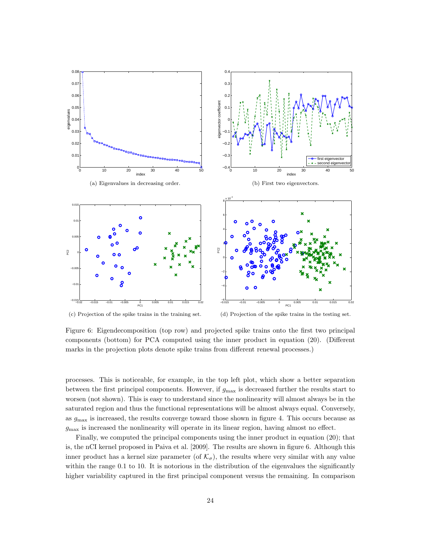

(c) Projection of the spike trains in the training set. (d) Projection of the spike trains in the testing set.

Figure 6: Eigendecomposition (top row) and projected spike trains onto the first two principal components (bottom) for PCA computed using the inner product in equation (20). (Different marks in the projection plots denote spike trains from different renewal processes.)

processes. This is noticeable, for example, in the top left plot, which show a better separation between the first principal components. However, if  $g_{\text{max}}$  is decreased further the results start to worsen (not shown). This is easy to understand since the nonlinearity will almost always be in the saturated region and thus the functional representations will be almost always equal. Conversely, as  $g_{\text{max}}$  is increased, the results converge toward those shown in figure 4. This occurs because as  $g_{\text{max}}$  is increased the nonlinearity will operate in its linear region, having almost no effect.

Finally, we computed the principal components using the inner product in equation (20); that is, the nCI kernel proposed in Paiva et al. [2009]. The results are shown in figure 6. Although this inner product has a kernel size parameter (of  $\mathcal{K}_{\sigma}$ ), the results where very similar with any value within the range 0.1 to 10. It is notorious in the distribution of the eigenvalues the significantly higher variability captured in the first principal component versus the remaining. In comparison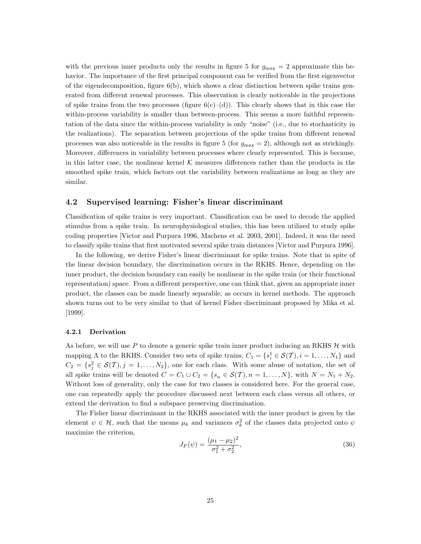with the previous inner products only the results in figure 5 for  $g_{\text{max}} = 2$  approximate this behavior. The importance of the first principal component can be verified from the first eigenvector of the eigendecomposition, figure  $6(b)$ , which shows a clear distinction between spike trains generated from different renewal processes. This observation is clearly noticeable in the projections of spike trains from the two processes (figure  $6(c)-(d)$ ). This clearly shows that in this case the within-process variability is smaller than between-process. This seems a more faithful representation of the data since the within-process variability is only "noise" (i.e., due to stochasticity in the realizations). The separation between projections of the spike trains from different renewal processes was also noticeable in the results in figure 5 (for  $g_{\text{max}} = 2$ ), although not as strickingly. Moreover, differences in variability between processes where clearly represented. This is because, in this latter case, the nonlinear kernel  $K$  measures differences rather than the products in the smoothed spike train, which factors out the variability between realizations as long as they are similar.

#### 4.2 Supervised learning: Fisher's linear discriminant

Classification of spike trains is very important. Classification can be used to decode the applied stimulus from a spike train. In neurophysiological studies, this has been utilized to study spike coding properties [Victor and Purpura 1996, Machens et al. 2003, 2001]. Indeed, it was the need to classify spike trains that first motivated several spike train distances [Victor and Purpura 1996].

In the following, we derive Fisher's linear discriminant for spike trains. Note that in spite of the linear decision boundary, the discrimination occurs in the RKHS. Hence, depending on the inner product, the decision boundary can easily be nonlinear in the spike train (or their functional representation) space. From a different perspective, one can think that, given an appropriate inner product, the classes can be made linearly separable, as occurs in kernel methods. The approach shown turns out to be very similar to that of kernel Fisher discriminant proposed by Mika et al. [1999].

#### 4.2.1 Derivation

As before, we will use P to denote a generic spike train inner product inducing an RKHS  $H$  with mapping  $\Lambda$  to the RKHS. Consider two sets of spike trains,  $C_1 = \{s_i^1 \in \mathcal{S}(\mathcal{T}), i = 1, \ldots, N_1\}$  and  $C_2 = \{s_j^2 \in \mathcal{S}(\mathcal{T}), j = 1, \ldots, N_2\},\$ one for each class. With some abuse of notation, the set of all spike trains will be denoted  $C = C_1 \cup C_2 = \{s_n \in \mathcal{S}(T), n = 1, \ldots, N\}$ , with  $N = N_1 + N_2$ . Without loss of generality, only the case for two classes is considered here. For the general case, one can repeatedly apply the procedure discussed next between each class versus all others, or extend the derivation to find a subspace preserving discrimination.

The Fisher linear discriminant in the RKHS associated with the inner product is given by the element  $\psi \in \mathcal{H}$ , such that the means  $\mu_k$  and variances  $\sigma_k^2$  of the classes data projected onto  $\psi$ maximize the criterion,

$$
J_F(\psi) = \frac{(\mu_1 - \mu_2)^2}{\sigma_1^2 + \sigma_2^2},\tag{36}
$$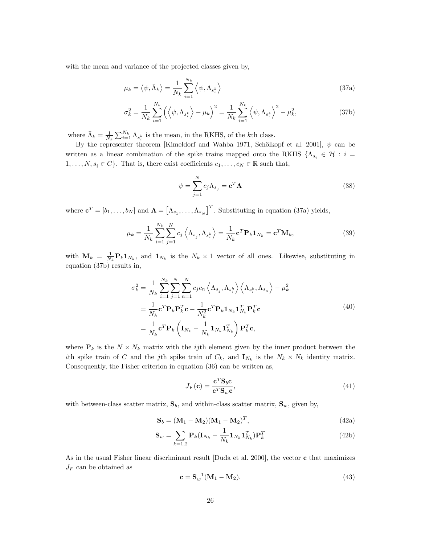with the mean and variance of the projected classes given by,

$$
\mu_k = \langle \psi, \bar{\Lambda}_k \rangle = \frac{1}{N_k} \sum_{i=1}^{N_k} \langle \psi, \Lambda_{s_i^k} \rangle \tag{37a}
$$

$$
\sigma_k^2 = \frac{1}{N_k} \sum_{i=1}^{N_k} \left( \left\langle \psi, \Lambda_{s_i^k} \right\rangle - \mu_k \right)^2 = \frac{1}{N_k} \sum_{i=1}^{N_k} \left\langle \psi, \Lambda_{s_i^k} \right\rangle^2 - \mu_k^2, \tag{37b}
$$

where  $\bar{\Lambda}_k = \frac{1}{N_k} \sum_{i=1}^{N_k} \Lambda_{s_i^k}$  is the mean, in the RKHS, of the *k*th class.

By the representer theorem [Kimeldorf and Wahba 1971, Schölkopf et al. 2001],  $\psi$  can be written as a linear combination of the spike trains mapped onto the RKHS  $\{\Lambda_{s_i} \in \mathcal{H} : i =$  $1, \ldots, N, s_i \in C$ . That is, there exist coefficients  $c_1, \ldots, c_N \in \mathbb{R}$  such that,

$$
\psi = \sum_{j=1}^{N} c_j \Lambda_{s_j} = \mathbf{c}^T \mathbf{\Lambda}
$$
\n(38)

where  $\mathbf{c}^T = [b_1, \dots, b_N]$  and  $\mathbf{\Lambda} = [\Lambda_{s_1}, \dots, \Lambda_{s_N}]^T$ . Substituting in equation (37a) yields,

$$
\mu_k = \frac{1}{N_k} \sum_{i=1}^{N_k} \sum_{j=1}^{N} c_j \left\langle \Lambda_{s_j}, \Lambda_{s_i^k} \right\rangle = \frac{1}{N_k} \mathbf{c}^T \mathbf{P}_k \mathbf{1}_{N_k} = \mathbf{c}^T \mathbf{M}_k, \tag{39}
$$

with  $\mathbf{M}_k = \frac{1}{N_k} \mathbf{P}_k \mathbf{1}_{N_k}$ , and  $\mathbf{1}_{N_k}$  is the  $N_k \times 1$  vector of all ones. Likewise, substituting in equation (37b) results in,

$$
\sigma_k^2 = \frac{1}{N_k} \sum_{i=1}^{N_k} \sum_{j=1}^{N} \sum_{n=1}^{N} c_j c_n \left\langle \Lambda_{s_j}, \Lambda_{s_i^k} \right\rangle \left\langle \Lambda_{s_i^k}, \Lambda_{s_n} \right\rangle - \mu_k^2
$$
  
\n
$$
= \frac{1}{N_k} \mathbf{c}^T \mathbf{P}_k \mathbf{P}_k^T \mathbf{c} - \frac{1}{N_k^2} \mathbf{c}^T \mathbf{P}_k \mathbf{1}_{N_k} \mathbf{1}_{N_k}^T \mathbf{P}_k^T \mathbf{c}
$$
  
\n
$$
= \frac{1}{N_k} \mathbf{c}^T \mathbf{P}_k \left( \mathbf{I}_{N_k} - \frac{1}{N_k} \mathbf{1}_{N_k} \mathbf{1}_{N_k}^T \right) \mathbf{P}_k^T \mathbf{c},
$$
\n(40)

where  $P_k$  is the  $N \times N_k$  matrix with the *ij*th element given by the inner product between the ith spike train of C and the j<sup>th</sup> spike train of  $C_k$ , and  $\mathbf{I}_{N_k}$  is the  $N_k \times N_k$  identity matrix. Consequently, the Fisher criterion in equation (36) can be written as,

$$
J_F(\mathbf{c}) = \frac{\mathbf{c}^T \mathbf{S}_b \mathbf{c}}{\mathbf{c}^T \mathbf{S}_w \mathbf{c}},\tag{41}
$$

with between-class scatter matrix,  $S_b$ , and within-class scatter matrix,  $S_w$ , given by,

$$
\mathbf{S}_b = (\mathbf{M}_1 - \mathbf{M}_2)(\mathbf{M}_1 - \mathbf{M}_2)^T, \tag{42a}
$$

$$
\mathbf{S}_w = \sum_{k=1,2} \mathbf{P}_k (\mathbf{I}_{N_k} - \frac{1}{N_k} \mathbf{1}_{N_k} \mathbf{1}_{N_k}^T) \mathbf{P}_k^T
$$
(42b)

As in the usual Fisher linear discriminant result [Duda et al. 2000], the vector c that maximizes  $J_F$  can be obtained as

$$
\mathbf{c} = \mathbf{S}_w^{-1}(\mathbf{M}_1 - \mathbf{M}_2). \tag{43}
$$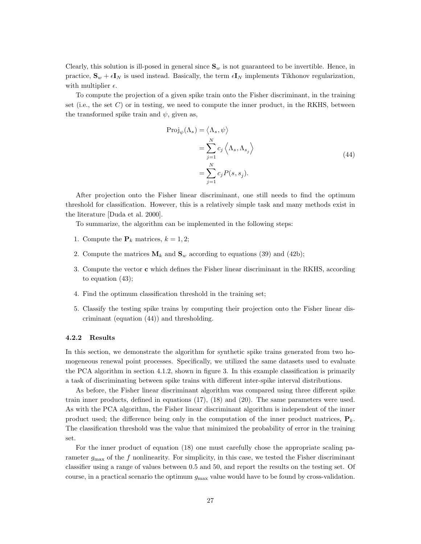Clearly, this solution is ill-posed in general since  $\mathbf{S}_w$  is not guaranteed to be invertible. Hence, in practice,  $S_w + \epsilon I_N$  is used instead. Basically, the term  $\epsilon I_N$  implements Tikhonov regularization, with multiplier  $\epsilon$ .

To compute the projection of a given spike train onto the Fisher discriminant, in the training set (i.e., the set  $C$ ) or in testing, we need to compute the inner product, in the RKHS, between the transformed spike train and  $\psi$ , given as,

$$
\begin{aligned} \text{Proj}_{\psi}(\Lambda_s) &= \langle \Lambda_s, \psi \rangle \\ &= \sum_{j=1}^N c_j \left\langle \Lambda_s, \Lambda_{s_j} \right\rangle \\ &= \sum_{j=1}^N c_j P(s, s_j). \end{aligned} \tag{44}
$$

After projection onto the Fisher linear discriminant, one still needs to find the optimum threshold for classification. However, this is a relatively simple task and many methods exist in the literature [Duda et al. 2000].

To summarize, the algorithm can be implemented in the following steps:

- 1. Compute the  $\mathbf{P}_k$  matrices,  $k = 1, 2$ ;
- 2. Compute the matrices  $M_k$  and  $S_w$  according to equations (39) and (42b);
- 3. Compute the vector c which defines the Fisher linear discriminant in the RKHS, according to equation (43);
- 4. Find the optimum classification threshold in the training set;
- 5. Classify the testing spike trains by computing their projection onto the Fisher linear discriminant (equation (44)) and thresholding.

#### 4.2.2 Results

In this section, we demonstrate the algorithm for synthetic spike trains generated from two homogeneous renewal point processes. Specifically, we utilized the same datasets used to evaluate the PCA algorithm in section 4.1.2, shown in figure 3. In this example classification is primarily a task of discriminating between spike trains with different inter-spike interval distributions.

As before, the Fisher linear discriminant algorithm was compared using three different spike train inner products, defined in equations (17), (18) and (20). The same parameters were used. As with the PCA algorithm, the Fisher linear discriminant algorithm is independent of the inner product used; the difference being only in the computation of the inner product matrices,  $P_k$ . The classification threshold was the value that minimized the probability of error in the training set.

For the inner product of equation (18) one must carefully chose the appropriate scaling parameter  $g_{\text{max}}$  of the f nonlinearity. For simplicity, in this case, we tested the Fisher discriminant classifier using a range of values between 0.5 and 50, and report the results on the testing set. Of course, in a practical scenario the optimum  $g_{\text{max}}$  value would have to be found by cross-validation.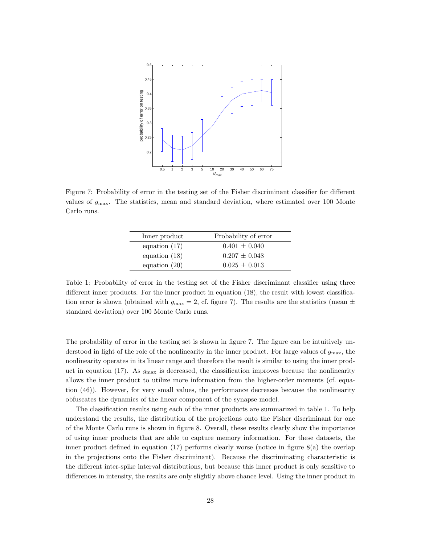

Figure 7: Probability of error in the testing set of the Fisher discriminant classifier for different values of  $g_{\text{max}}$ . The statistics, mean and standard deviation, where estimated over 100 Monte Carlo runs.

| Inner product   | Probability of error |
|-----------------|----------------------|
| equation $(17)$ | $0.401 \pm 0.040$    |
| equation $(18)$ | $0.207 \pm 0.048$    |
| equation $(20)$ | $0.025 \pm 0.013$    |

Table 1: Probability of error in the testing set of the Fisher discriminant classifier using three different inner products. For the inner product in equation (18), the result with lowest classification error is shown (obtained with  $g_{\text{max}} = 2$ , cf. figure 7). The results are the statistics (mean  $\pm$ standard deviation) over 100 Monte Carlo runs.

The probability of error in the testing set is shown in figure 7. The figure can be intuitively understood in light of the role of the nonlinearity in the inner product. For large values of  $g_{\text{max}}$ , the nonlinearity operates in its linear range and therefore the result is similar to using the inner product in equation (17). As  $g_{\text{max}}$  is decreased, the classification improves because the nonlinearity allows the inner product to utilize more information from the higher-order moments (cf. equation (46)). However, for very small values, the performance decreases because the nonlinearity obfuscates the dynamics of the linear component of the synapse model.

The classification results using each of the inner products are summarized in table 1. To help understand the results, the distribution of the projections onto the Fisher discriminant for one of the Monte Carlo runs is shown in figure 8. Overall, these results clearly show the importance of using inner products that are able to capture memory information. For these datasets, the inner product defined in equation  $(17)$  performs clearly worse (notice in figure  $8(a)$ ) the overlap in the projections onto the Fisher discriminant). Because the discriminating characteristic is the different inter-spike interval distributions, but because this inner product is only sensitive to differences in intensity, the results are only slightly above chance level. Using the inner product in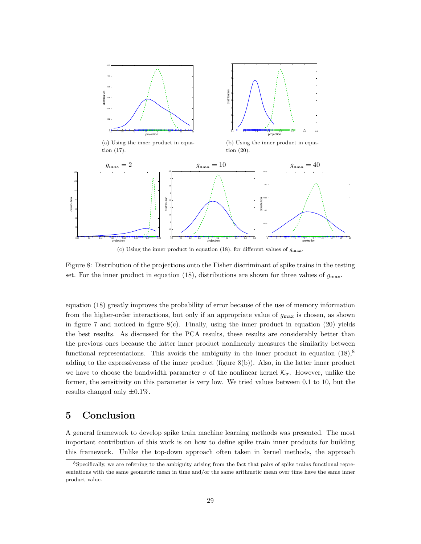

(c) Using the inner product in equation (18), for different values of  $g_{\text{max}}$ .

Figure 8: Distribution of the projections onto the Fisher discriminant of spike trains in the testing set. For the inner product in equation (18), distributions are shown for three values of  $g_{\text{max}}$ .

equation (18) greatly improves the probability of error because of the use of memory information from the higher-order interactions, but only if an appropriate value of  $q_{\text{max}}$  is chosen, as shown in figure 7 and noticed in figure  $8(c)$ . Finally, using the inner product in equation (20) yields the best results. As discussed for the PCA results, these results are considerably better than the previous ones because the latter inner product nonlinearly measures the similarity between functional representations. This avoids the ambiguity in the inner product in equation  $(18)$ ,<sup>8</sup> adding to the expressiveness of the inner product (figure 8(b)). Also, in the latter inner product we have to choose the bandwidth parameter  $\sigma$  of the nonlinear kernel  $\mathcal{K}_{\sigma}$ . However, unlike the former, the sensitivity on this parameter is very low. We tried values between 0.1 to 10, but the results changed only  $\pm 0.1\%$ .

# 5 Conclusion

A general framework to develop spike train machine learning methods was presented. The most important contribution of this work is on how to define spike train inner products for building this framework. Unlike the top-down approach often taken in kernel methods, the approach

<sup>8</sup>Specifically, we are referring to the ambiguity arising from the fact that pairs of spike trains functional representations with the same geometric mean in time and/or the same arithmetic mean over time have the same inner product value.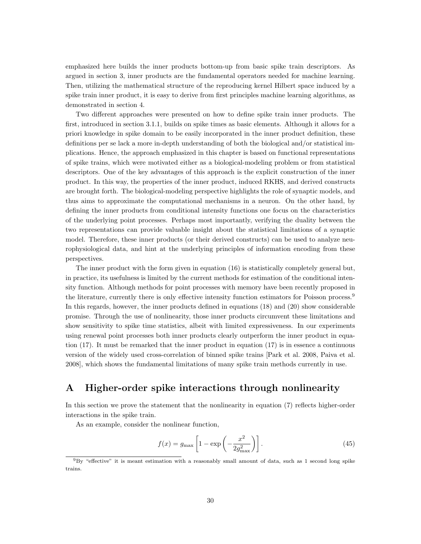emphasized here builds the inner products bottom-up from basic spike train descriptors. As argued in section 3, inner products are the fundamental operators needed for machine learning. Then, utilizing the mathematical structure of the reproducing kernel Hilbert space induced by a spike train inner product, it is easy to derive from first principles machine learning algorithms, as demonstrated in section 4.

Two different approaches were presented on how to define spike train inner products. The first, introduced in section 3.1.1, builds on spike times as basic elements. Although it allows for a priori knowledge in spike domain to be easily incorporated in the inner product definition, these definitions per se lack a more in-depth understanding of both the biological and/or statistical implications. Hence, the approach emphasized in this chapter is based on functional representations of spike trains, which were motivated either as a biological-modeling problem or from statistical descriptors. One of the key advantages of this approach is the explicit construction of the inner product. In this way, the properties of the inner product, induced RKHS, and derived constructs are brought forth. The biological-modeling perspective highlights the role of synaptic models, and thus aims to approximate the computational mechanisms in a neuron. On the other hand, by defining the inner products from conditional intensity functions one focus on the characteristics of the underlying point processes. Perhaps most importantly, verifying the duality between the two representations can provide valuable insight about the statistical limitations of a synaptic model. Therefore, these inner products (or their derived constructs) can be used to analyze neurophysiological data, and hint at the underlying principles of information encoding from these perspectives.

The inner product with the form given in equation (16) is statistically completely general but, in practice, its usefulness is limited by the current methods for estimation of the conditional intensity function. Although methods for point processes with memory have been recently proposed in the literature, currently there is only effective intensity function estimators for Poisson process.<sup>9</sup> In this regards, however, the inner products defined in equations (18) and (20) show considerable promise. Through the use of nonlinearity, those inner products circumvent these limitations and show sensitivity to spike time statistics, albeit with limited expressiveness. In our experiments using renewal point processes both inner products clearly outperform the inner product in equation (17). It must be remarked that the inner product in equation (17) is in essence a continuous version of the widely used cross-correlation of binned spike trains [Park et al. 2008, Paiva et al. 2008], which shows the fundamental limitations of many spike train methods currently in use.

# A Higher-order spike interactions through nonlinearity

In this section we prove the statement that the nonlinearity in equation (7) reflects higher-order interactions in the spike train.

As an example, consider the nonlinear function,

$$
f(x) = g_{\text{max}} \left[ 1 - \exp\left( -\frac{x^2}{2g_{\text{max}}^2} \right) \right].
$$
 (45)

<sup>9</sup>By "effective" it is meant estimation with a reasonably small amount of data, such as 1 second long spike trains.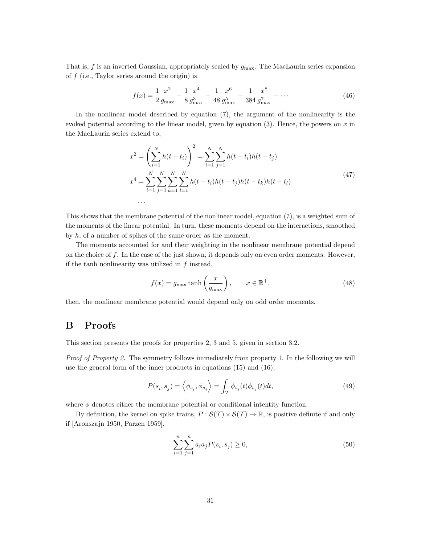That is, f is an inverted Gaussian, appropriately scaled by  $g_{\text{max}}$ . The MacLaurin series expansion of  $f$  (i.e., Taylor series around the origin) is

$$
f(x) = \frac{1}{2} \frac{x^2}{g_{\text{max}}} - \frac{1}{8} \frac{x^4}{g_{\text{max}}^3} + \frac{1}{48} \frac{x^6}{g_{\text{max}}^5} - \frac{1}{384} \frac{x^8}{g_{\text{max}}^7} + \dots
$$
 (46)

In the nonlinear model described by equation (7), the argument of the nonlinearity is the evoked potential according to the linear model, given by equation  $(3)$ . Hence, the powers on x in the MacLaurin series extend to,

$$
x^{2} = \left(\sum_{i=1}^{N} h(t - t_{i})\right)^{2} = \sum_{i=1}^{N} \sum_{j=1}^{N} h(t - t_{i})h(t - t_{j})
$$
  

$$
x^{4} = \sum_{i=1}^{N} \sum_{j=1}^{N} \sum_{k=1}^{N} \sum_{l=1}^{N} h(t - t_{i})h(t - t_{j})h(t - t_{k})h(t - t_{l})
$$
\n
$$
(47)
$$

This shows that the membrane potential of the nonlinear model, equation (7), is a weighted sum of the moments of the linear potential. In turn, these moments depend on the interactions, smoothed by h, of a number of spikes of the same order as the moment.

The moments accounted for and their weighting in the nonlinear membrane potential depend on the choice of  $f$ . In the case of the just shown, it depends only on even order moments. However, if the tanh nonlinearity was utilized in  $f$  instead,

$$
f(x) = g_{\text{max}} \tanh\left(\frac{x}{g_{\text{max}}}\right), \qquad x \in \mathbb{R}^+, \tag{48}
$$

then, the nonlinear membrane potential would depend only on odd order moments.

. . .

# B Proofs

This section presents the proofs for properties 2, 3 and 5, given in section 3.2.

Proof of Property 2. The symmetry follows immediately from property 1. In the following we will use the general form of the inner products in equations (15) and (16),

$$
P(s_i, s_j) = \left\langle \phi_{s_i}, \phi_{s_j} \right\rangle = \int_{\mathcal{T}} \phi_{s_i}(t) \phi_{s_j}(t) dt,
$$
\n(49)

where  $\phi$  denotes either the membrane potential or conditional intentity function.

By definition, the kernel on spike trains,  $P : \mathcal{S}(\mathcal{T}) \times \mathcal{S}(\mathcal{T}) \to \mathbb{R}$ , is positive definite if and only if [Aronszajn 1950, Parzen 1959],

$$
\sum_{i=1}^{n} \sum_{j=1}^{n} a_i a_j P(s_i, s_j) \ge 0,
$$
\n(50)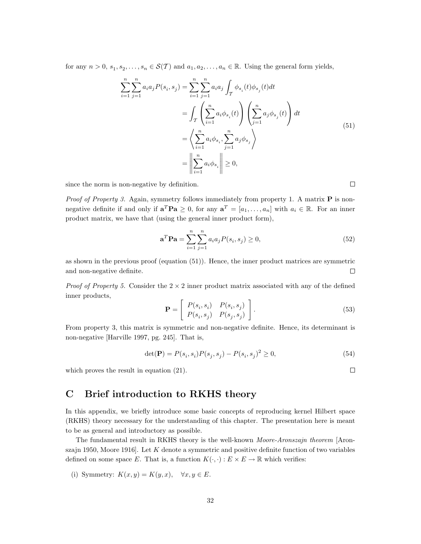for any  $n > 0$ ,  $s_1, s_2, \ldots, s_n \in \mathcal{S}(\mathcal{T})$  and  $a_1, a_2, \ldots, a_n \in \mathbb{R}$ . Using the general form yields,

$$
\sum_{i=1}^{n} \sum_{j=1}^{n} a_i a_j P(s_i, s_j) = \sum_{i=1}^{n} \sum_{j=1}^{n} a_i a_j \int_{\mathcal{T}} \phi_{s_i}(t) \phi_{s_j}(t) dt \n= \int_{\mathcal{T}} \left( \sum_{i=1}^{n} a_i \phi_{s_i}(t) \right) \left( \sum_{j=1}^{n} a_j \phi_{s_j}(t) \right) dt \n= \left\langle \sum_{i=1}^{n} a_i \phi_{s_i}, \sum_{j=1}^{n} a_j \phi_{s_j} \right\rangle \n= \left\| \sum_{i=1}^{n} a_i \phi_{s_i} \right\| \ge 0,
$$
\n(51)

since the norm is non-negative by definition.

*Proof of Property 3.* Again, symmetry follows immediately from property 1. A matrix  $P$  is nonnegative definite if and only if  $\mathbf{a}^T \mathbf{Pa} \geq 0$ , for any  $\mathbf{a}^T = [a_1, \ldots, a_n]$  with  $a_i \in \mathbb{R}$ . For an inner product matrix, we have that (using the general inner product form),

$$
\mathbf{a}^T \mathbf{P} \mathbf{a} = \sum_{i=1}^n \sum_{j=1}^n a_i a_j P(s_i, s_j) \ge 0,
$$
\n(52)

as shown in the previous proof (equation (51)). Hence, the inner product matrices are symmetric and non-negative definite.  $\Box$ 

*Proof of Property 5.* Consider the  $2 \times 2$  inner product matrix associated with any of the defined inner products,

$$
\mathbf{P} = \left[ \begin{array}{cc} P(s_i, s_i) & P(s_i, s_j) \\ P(s_i, s_j) & P(s_j, s_j) \end{array} \right].
$$
\n(53)

From property 3, this matrix is symmetric and non-negative definite. Hence, its determinant is non-negative [Harville 1997, pg. 245]. That is,

$$
\det(\mathbf{P}) = P(s_i, s_i)P(s_j, s_j) - P(s_i, s_j)^2 \ge 0,
$$
\n(54)

which proves the result in equation (21).

# C Brief introduction to RKHS theory

In this appendix, we briefly introduce some basic concepts of reproducing kernel Hilbert space (RKHS) theory necessary for the understanding of this chapter. The presentation here is meant to be as general and introductory as possible.

The fundamental result in RKHS theory is the well-known Moore-Aronszajn theorem [Aronszajn 1950, Moore 1916. Let  $K$  denote a symmetric and positive definite function of two variables defined on some space E. That is, a function  $K(\cdot, \cdot) : E \times E \to \mathbb{R}$  which verifies:

(i) Symmetry: 
$$
K(x, y) = K(y, x), \quad \forall x, y \in E.
$$

 $\Box$ 

 $\Box$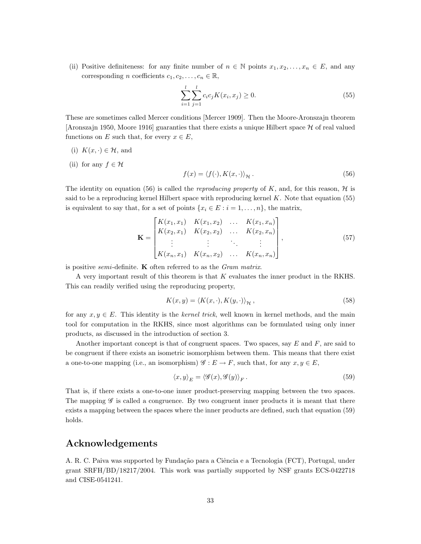(ii) Positive definiteness: for any finite number of  $n \in \mathbb{N}$  points  $x_1, x_2, \ldots, x_n \in E$ , and any corresponding *n* coefficients  $c_1, c_2, \ldots, c_n \in \mathbb{R}$ ,

$$
\sum_{i=1}^{l} \sum_{j=1}^{l} c_i c_j K(x_i, x_j) \ge 0.
$$
\n(55)

These are sometimes called Mercer conditions [Mercer 1909]. Then the Moore-Aronszajn theorem [Aronszajn 1950, Moore 1916] guaranties that there exists a unique Hilbert space  $H$  of real valued functions on E such that, for every  $x \in E$ ,

- (i)  $K(x, \cdot) \in \mathcal{H}$ , and
- (ii) for any  $f \in \mathcal{H}$

$$
f(x) = \langle f(\cdot), K(x, \cdot) \rangle_{\mathcal{H}}.
$$
\n(56)

The identity on equation (56) is called the *reproducing property* of K, and, for this reason,  $\mathcal{H}$  is said to be a reproducing kernel Hilbert space with reproducing kernel  $K$ . Note that equation (55) is equivalent to say that, for a set of points  $\{x_i \in E : i = 1, \ldots, n\}$ , the matrix,

$$
\mathbf{K} = \begin{bmatrix} K(x_1, x_1) & K(x_1, x_2) & \dots & K(x_1, x_n) \\ K(x_2, x_1) & K(x_2, x_2) & \dots & K(x_2, x_n) \\ \vdots & \vdots & \ddots & \vdots \\ K(x_n, x_1) & K(x_n, x_2) & \dots & K(x_n, x_n) \end{bmatrix},
$$
(57)

is positive *semi*-definite. **K** often referred to as the *Gram matrix*.

A very important result of this theorem is that K evaluates the inner product in the RKHS. This can readily verified using the reproducing property,

$$
K(x, y) = \langle K(x, \cdot), K(y, \cdot) \rangle_{\mathcal{H}},
$$
\n(58)

for any  $x, y \in E$ . This identity is the kernel trick, well known in kernel methods, and the main tool for computation in the RKHS, since most algorithms can be formulated using only inner products, as discussed in the introduction of section 3.

Another important concept is that of congruent spaces. Two spaces, say  $E$  and  $F$ , are said to be congruent if there exists an isometric isomorphism between them. This means that there exist a one-to-one mapping (i.e., an isomorphism)  $\mathscr{G}: E \to F$ , such that, for any  $x, y \in E$ ,

$$
\langle x, y \rangle_E = \langle \mathcal{G}(x), \mathcal{G}(y) \rangle_F. \tag{59}
$$

That is, if there exists a one-to-one inner product-preserving mapping between the two spaces. The mapping  $\mathscr G$  is called a congruence. By two congruent inner products it is meant that there exists a mapping between the spaces where the inner products are defined, such that equation (59) holds.

### Acknowledgements

A. R. C. Paiva was supported by Fundação para a Ciência e a Tecnologia (FCT), Portugal, under grant SRFH/BD/18217/2004. This work was partially supported by NSF grants ECS-0422718 and CISE-0541241.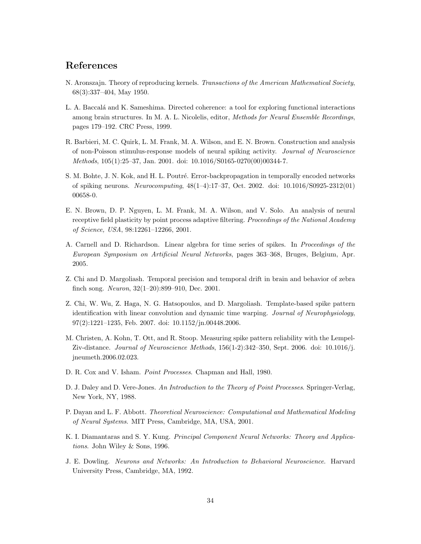# References

- N. Aronszajn. Theory of reproducing kernels. Transactions of the American Mathematical Society, 68(3):337–404, May 1950.
- L. A. Baccalá and K. Sameshima. Directed coherence: a tool for exploring functional interactions among brain structures. In M. A. L. Nicolelis, editor, Methods for Neural Ensemble Recordings, pages 179–192. CRC Press, 1999.
- R. Barbieri, M. C. Quirk, L. M. Frank, M. A. Wilson, and E. N. Brown. Construction and analysis of non-Poisson stimulus-response models of neural spiking activity. Journal of Neuroscience Methods, 105(1):25–37, Jan. 2001. doi: 10.1016/S0165-0270(00)00344-7.
- S. M. Bohte, J. N. Kok, and H. L. Poutré. Error-backpropagation in temporally encoded networks of spiking neurons. Neurocomputing, 48(1–4):17–37, Oct. 2002. doi: 10.1016/S0925-2312(01) 00658-0.
- E. N. Brown, D. P. Nguyen, L. M. Frank, M. A. Wilson, and V. Solo. An analysis of neural receptive field plasticity by point process adaptive filtering. Proceedings of the National Academy of Science, USA, 98:12261–12266, 2001.
- A. Carnell and D. Richardson. Linear algebra for time series of spikes. In Proceedings of the European Symposium on Artificial Neural Networks, pages 363–368, Bruges, Belgium, Apr. 2005.
- Z. Chi and D. Margoliash. Temporal precision and temporal drift in brain and behavior of zebra finch song. Neuron, 32(1–20):899–910, Dec. 2001.
- Z. Chi, W. Wu, Z. Haga, N. G. Hatsopoulos, and D. Margoliash. Template-based spike pattern identification with linear convolution and dynamic time warping. Journal of Neurophysiology, 97(2):1221–1235, Feb. 2007. doi: 10.1152/jn.00448.2006.
- M. Christen, A. Kohn, T. Ott, and R. Stoop. Measuring spike pattern reliability with the Lempel-Ziv-distance. Journal of Neuroscience Methods, 156(1-2):342–350, Sept. 2006. doi: 10.1016/j. jneumeth.2006.02.023.
- D. R. Cox and V. Isham. Point Processes. Chapman and Hall, 1980.
- D. J. Daley and D. Vere-Jones. An Introduction to the Theory of Point Processes. Springer-Verlag, New York, NY, 1988.
- P. Dayan and L. F. Abbott. Theoretical Neuroscience: Computational and Mathematical Modeling of Neural Systems. MIT Press, Cambridge, MA, USA, 2001.
- K. I. Diamantaras and S. Y. Kung. Principal Component Neural Networks: Theory and Applications. John Wiley & Sons, 1996.
- J. E. Dowling. Neurons and Networks: An Introduction to Behavioral Neuroscience. Harvard University Press, Cambridge, MA, 1992.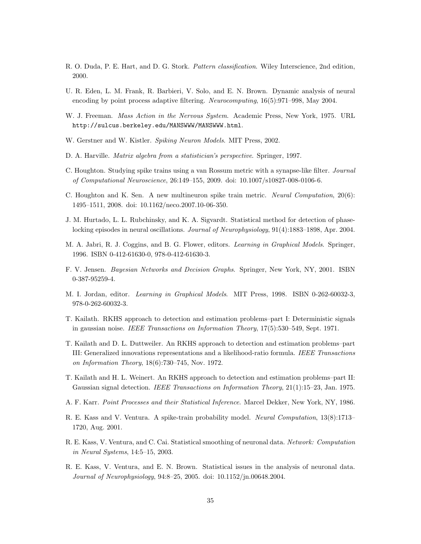- R. O. Duda, P. E. Hart, and D. G. Stork. Pattern classification. Wiley Interscience, 2nd edition, 2000.
- U. R. Eden, L. M. Frank, R. Barbieri, V. Solo, and E. N. Brown. Dynamic analysis of neural encoding by point process adaptive filtering. Neurocomputing, 16(5):971–998, May 2004.
- W. J. Freeman. Mass Action in the Nervous System. Academic Press, New York, 1975. URL http://sulcus.berkeley.edu/MANSWWW/MANSWWW.html.
- W. Gerstner and W. Kistler. Spiking Neuron Models. MIT Press, 2002.
- D. A. Harville. Matrix algebra from a statistician's perspective. Springer, 1997.
- C. Houghton. Studying spike trains using a van Rossum metric with a synapse-like filter. Journal of Computational Neuroscience, 26:149–155, 2009. doi: 10.1007/s10827-008-0106-6.
- C. Houghton and K. Sen. A new multineuron spike train metric. Neural Computation, 20(6): 1495–1511, 2008. doi: 10.1162/neco.2007.10-06-350.
- J. M. Hurtado, L. L. Rubchinsky, and K. A. Sigvardt. Statistical method for detection of phaselocking episodes in neural oscillations. Journal of Neurophysiology, 91(4):1883–1898, Apr. 2004.
- M. A. Jabri, R. J. Coggins, and B. G. Flower, editors. Learning in Graphical Models. Springer, 1996. ISBN 0-412-61630-0, 978-0-412-61630-3.
- F. V. Jensen. Bayesian Networks and Decision Graphs. Springer, New York, NY, 2001. ISBN 0-387-95259-4.
- M. I. Jordan, editor. Learning in Graphical Models. MIT Press, 1998. ISBN 0-262-60032-3, 978-0-262-60032-3.
- T. Kailath. RKHS approach to detection and estimation problems–part I: Deterministic signals in gaussian noise. IEEE Transactions on Information Theory, 17(5):530–549, Sept. 1971.
- T. Kailath and D. L. Duttweiler. An RKHS approach to detection and estimation problems–part III: Generalized innovations representations and a likelihood-ratio formula. IEEE Transactions on Information Theory, 18(6):730–745, Nov. 1972.
- T. Kailath and H. L. Weinert. An RKHS approach to detection and estimation problems–part II: Gaussian signal detection. IEEE Transactions on Information Theory, 21(1):15–23, Jan. 1975.
- A. F. Karr. Point Processes and their Statistical Inference. Marcel Dekker, New York, NY, 1986.
- R. E. Kass and V. Ventura. A spike-train probability model. Neural Computation, 13(8):1713– 1720, Aug. 2001.
- R. E. Kass, V. Ventura, and C. Cai. Statistical smoothing of neuronal data. Network: Computation in Neural Systems, 14:5–15, 2003.
- R. E. Kass, V. Ventura, and E. N. Brown. Statistical issues in the analysis of neuronal data. Journal of Neurophysiology, 94:8–25, 2005. doi: 10.1152/jn.00648.2004.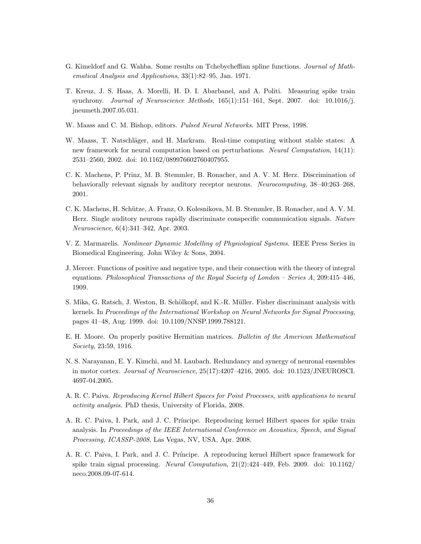- G. Kimeldorf and G. Wahba. Some results on Tchebycheffian spline functions. Journal of Mathematical Analysis and Applications, 33(1):82–95, Jan. 1971.
- T. Kreuz, J. S. Haas, A. Morelli, H. D. I. Abarbanel, and A. Politi. Measuring spike train synchrony. Journal of Neuroscience Methods, 165(1):151–161, Sept. 2007. doi: 10.1016/j. jneumeth.2007.05.031.
- W. Maass and C. M. Bishop, editors. Pulsed Neural Networks. MIT Press, 1998.
- W. Maass, T. Natschläger, and H. Markram. Real-time computing without stable states: A new framework for neural computation based on perturbations. Neural Computation, 14(11): 2531–2560, 2002. doi: 10.1162/089976602760407955.
- C. K. Machens, P. Prinz, M. B. Stemmler, B. Ronacher, and A. V. M. Herz. Discrimination of behaviorally relevant signals by auditory receptor neurons. Neurocomputing, 38–40:263–268, 2001.
- C. K. Machens, H. Schütze, A. Franz, O. Kolesnikova, M. B. Stemmler, B. Ronacher, and A. V. M. Herz. Single auditory neurons rapidly discriminate conspecific communication signals. Nature Neuroscience, 6(4):341–342, Apr. 2003.
- V. Z. Marmarelis. Nonlinear Dynamic Modelling of Physiological Systems. IEEE Press Series in Biomedical Engineering. John Wiley & Sons, 2004.
- J. Mercer. Functions of positive and negative type, and their connection with the theory of integral equations. Philosophical Transactions of the Royal Society of London – Series A, 209:415–446, 1909.
- S. Mika, G. Ratsch, J. Weston, B. Schölkopf, and K.-R. Müller. Fisher discriminant analysis with kernels. In Proceedings of the International Workshop on Neural Networks for Signal Processing, pages 41–48, Aug. 1999. doi: 10.1109/NNSP.1999.788121.
- E. H. Moore. On properly positive Hermitian matrices. Bulletin of the American Mathematical Society, 23:59, 1916.
- N. S. Narayanan, E. Y. Kimchi, and M. Laubach. Redundancy and synergy of neuronal ensembles in motor cortex. Journal of Neuroscience, 25(17):4207–4216, 2005. doi: 10.1523/JNEUROSCI. 4697-04.2005.
- A. R. C. Paiva. Reproducing Kernel Hilbert Spaces for Point Processes, with applications to neural activity analysis. PhD thesis, University of Florida, 2008.
- A. R. C. Paiva, I. Park, and J. C. Príncipe. Reproducing kernel Hilbert spaces for spike train analysis. In Proceedings of the IEEE International Conference on Acoustics, Speech, and Signal Processing, ICASSP-2008, Las Vegas, NV, USA, Apr. 2008.
- A. R. C. Paiva, I. Park, and J. C. Pr´ıncipe. A reproducing kernel Hilbert space framework for spike train signal processing. Neural Computation, 21(2):424–449, Feb. 2009. doi: 10.1162/ neco.2008.09-07-614.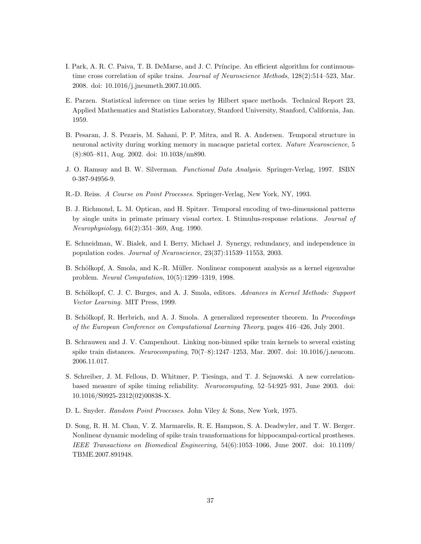- I. Park, A. R. C. Paiva, T. B. DeMarse, and J. C. Príncipe. An efficient algorithm for continuoustime cross correlation of spike trains. Journal of Neuroscience Methods, 128(2):514–523, Mar. 2008. doi: 10.1016/j.jneumeth.2007.10.005.
- E. Parzen. Statistical inference on time series by Hilbert space methods. Technical Report 23, Applied Mathematics and Statistics Laboratory, Stanford University, Stanford, California, Jan. 1959.
- B. Pesaran, J. S. Pezaris, M. Sahani, P. P. Mitra, and R. A. Andersen. Temporal structure in neuronal activity during working memory in macaque parietal cortex. Nature Neuroscience, 5 (8):805–811, Aug. 2002. doi: 10.1038/nn890.
- J. O. Ramsay and B. W. Silverman. Functional Data Analysis. Springer-Verlag, 1997. ISBN 0-387-94956-9.
- R.-D. Reiss. A Course on Point Processes. Springer-Verlag, New York, NY, 1993.
- B. J. Richmond, L. M. Optican, and H. Spitzer. Temporal encoding of two-dimensional patterns by single units in primate primary visual cortex. I. Stimulus-response relations. Journal of Neurophysiology, 64(2):351–369, Aug. 1990.
- E. Schneidman, W. Bialek, and I. Berry, Michael J. Synergy, redundancy, and independence in population codes. Journal of Neuroscience, 23(37):11539–11553, 2003.
- B. Schölkopf, A. Smola, and K.-R. Müller. Nonlinear component analysis as a kernel eigenvalue problem. Neural Computation, 10(5):1299–1319, 1998.
- B. Schölkopf, C. J. C. Burges, and A. J. Smola, editors. Advances in Kernel Methods: Support Vector Learning. MIT Press, 1999.
- B. Schölkopf, R. Herbrich, and A. J. Smola. A generalized representer theorem. In Proceedings of the European Conference on Computational Learning Theory, pages 416–426, July 2001.
- B. Schrauwen and J. V. Campenhout. Linking non-binned spike train kernels to several existing spike train distances. Neurocomputing, 70(7–8):1247–1253, Mar. 2007. doi: 10.1016/j.neucom. 2006.11.017.
- S. Schreiber, J. M. Fellous, D. Whitmer, P. Tiesinga, and T. J. Sejnowski. A new correlationbased measure of spike timing reliability. Neurocomputing, 52–54:925–931, June 2003. doi: 10.1016/S0925-2312(02)00838-X.
- D. L. Snyder. Random Point Processes. John Viley & Sons, New York, 1975.
- D. Song, R. H. M. Chan, V. Z. Marmarelis, R. E. Hampson, S. A. Deadwyler, and T. W. Berger. Nonlinear dynamic modeling of spike train transformations for hippocampal-cortical prostheses. IEEE Transactions on Biomedical Engineering, 54(6):1053–1066, June 2007. doi: 10.1109/ TBME.2007.891948.